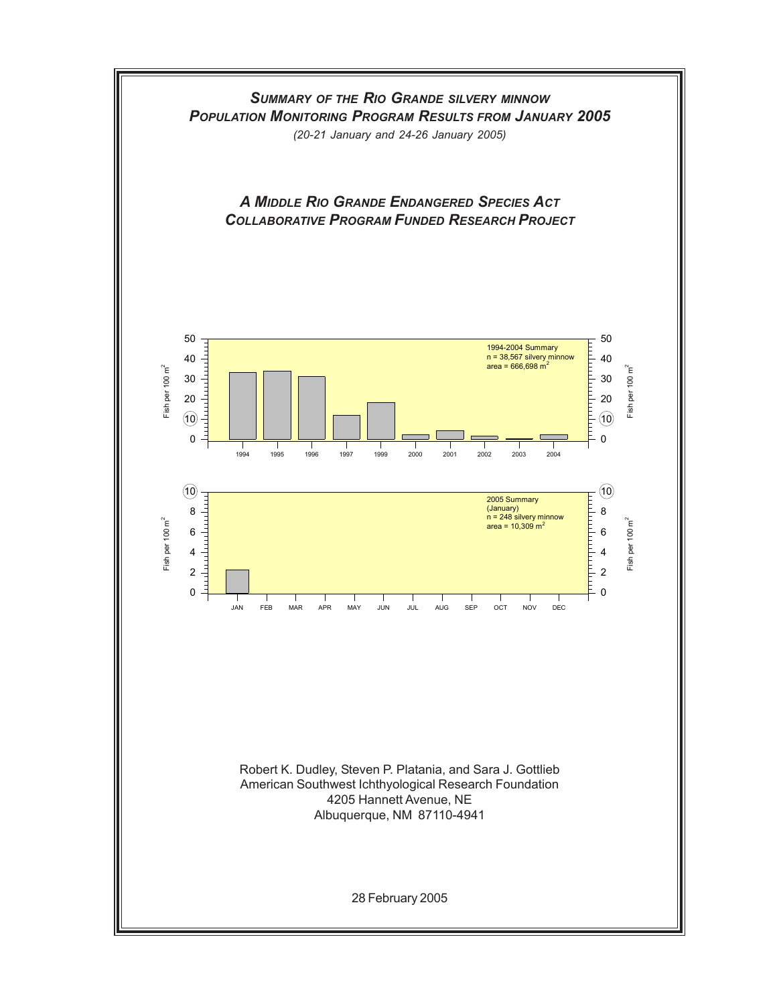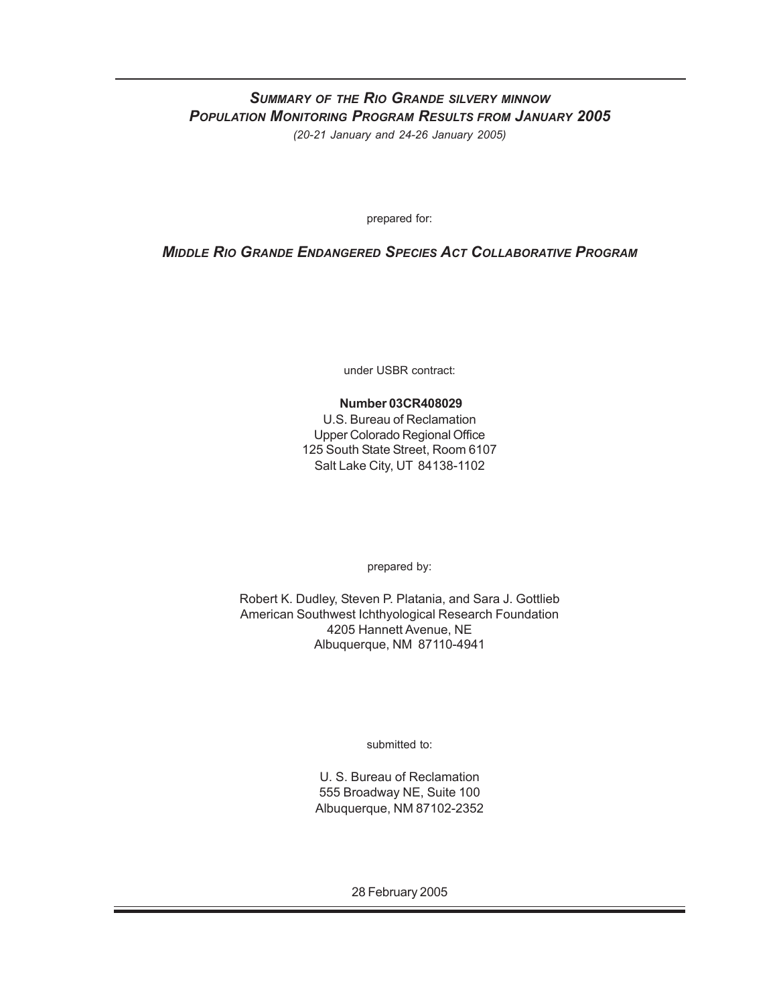### *SUMMARY OF THE RIO GRANDE SILVERY MINNOW POPULATION MONITORING PROGRAM RESULTS FROM JANUARY 2005 (20-21 January and 24-26 January 2005)*

prepared for:

### *MIDDLE RIO GRANDE ENDANGERED SPECIES ACT COLLABORATIVE PROGRAM*

under USBR contract:

#### **Number 03CR408029**

U.S. Bureau of Reclamation Upper Colorado Regional Office 125 South State Street, Room 6107 Salt Lake City, UT 84138-1102

prepared by:

Robert K. Dudley, Steven P. Platania, and Sara J. Gottlieb American Southwest Ichthyological Research Foundation 4205 Hannett Avenue, NE Albuquerque, NM 87110-4941

submitted to:

U. S. Bureau of Reclamation 555 Broadway NE, Suite 100 Albuquerque, NM 87102-2352

28 February 2005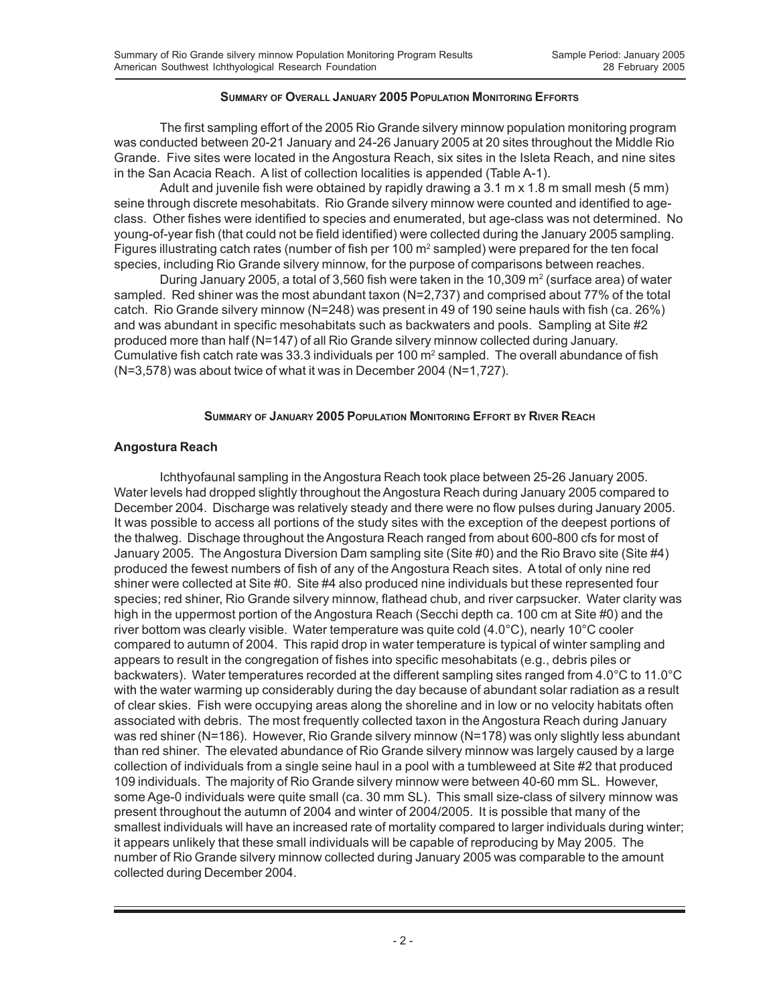#### **SUMMARY OF OVERALL JANUARY 2005 POPULATION MONITORING EFFORTS**

The first sampling effort of the 2005 Rio Grande silvery minnow population monitoring program was conducted between 20-21 January and 24-26 January 2005 at 20 sites throughout the Middle Rio Grande. Five sites were located in the Angostura Reach, six sites in the Isleta Reach, and nine sites in the San Acacia Reach. A list of collection localities is appended (Table A-1).

Adult and juvenile fish were obtained by rapidly drawing a 3.1 m x 1.8 m small mesh (5 mm) seine through discrete mesohabitats. Rio Grande silvery minnow were counted and identified to ageclass. Other fishes were identified to species and enumerated, but age-class was not determined. No young-of-year fish (that could not be field identified) were collected during the January 2005 sampling. Figures illustrating catch rates (number of fish per 100 m<sup>2</sup> sampled) were prepared for the ten focal species, including Rio Grande silvery minnow, for the purpose of comparisons between reaches.

During January 2005, a total of 3,560 fish were taken in the 10,309 m<sup>2</sup> (surface area) of water sampled. Red shiner was the most abundant taxon (N=2,737) and comprised about 77% of the total catch. Rio Grande silvery minnow (N=248) was present in 49 of 190 seine hauls with fish (ca. 26%) and was abundant in specific mesohabitats such as backwaters and pools. Sampling at Site #2 produced more than half (N=147) of all Rio Grande silvery minnow collected during January. Cumulative fish catch rate was 33.3 individuals per 100 m<sup>2</sup> sampled. The overall abundance of fish (N=3,578) was about twice of what it was in December 2004 (N=1,727).

#### **SUMMARY OF JANUARY 2005 POPULATION MONITORING EFFORT BY RIVER REACH**

#### **Angostura Reach**

Ichthyofaunal sampling in the Angostura Reach took place between 25-26 January 2005. Water levels had dropped slightly throughout the Angostura Reach during January 2005 compared to December 2004. Discharge was relatively steady and there were no flow pulses during January 2005. It was possible to access all portions of the study sites with the exception of the deepest portions of the thalweg. Dischage throughout the Angostura Reach ranged from about 600-800 cfs for most of January 2005. The Angostura Diversion Dam sampling site (Site #0) and the Rio Bravo site (Site #4) produced the fewest numbers of fish of any of the Angostura Reach sites. A total of only nine red shiner were collected at Site #0. Site #4 also produced nine individuals but these represented four species; red shiner, Rio Grande silvery minnow, flathead chub, and river carpsucker. Water clarity was high in the uppermost portion of the Angostura Reach (Secchi depth ca. 100 cm at Site #0) and the river bottom was clearly visible. Water temperature was quite cold (4.0°C), nearly 10°C cooler compared to autumn of 2004. This rapid drop in water temperature is typical of winter sampling and appears to result in the congregation of fishes into specific mesohabitats (e.g., debris piles or backwaters). Water temperatures recorded at the different sampling sites ranged from 4.0°C to 11.0°C with the water warming up considerably during the day because of abundant solar radiation as a result of clear skies. Fish were occupying areas along the shoreline and in low or no velocity habitats often associated with debris. The most frequently collected taxon in the Angostura Reach during January was red shiner (N=186). However, Rio Grande silvery minnow (N=178) was only slightly less abundant than red shiner. The elevated abundance of Rio Grande silvery minnow was largely caused by a large collection of individuals from a single seine haul in a pool with a tumbleweed at Site #2 that produced 109 individuals. The majority of Rio Grande silvery minnow were between 40-60 mm SL. However, some Age-0 individuals were quite small (ca. 30 mm SL). This small size-class of silvery minnow was present throughout the autumn of 2004 and winter of 2004/2005. It is possible that many of the smallest individuals will have an increased rate of mortality compared to larger individuals during winter; it appears unlikely that these small individuals will be capable of reproducing by May 2005. The number of Rio Grande silvery minnow collected during January 2005 was comparable to the amount collected during December 2004.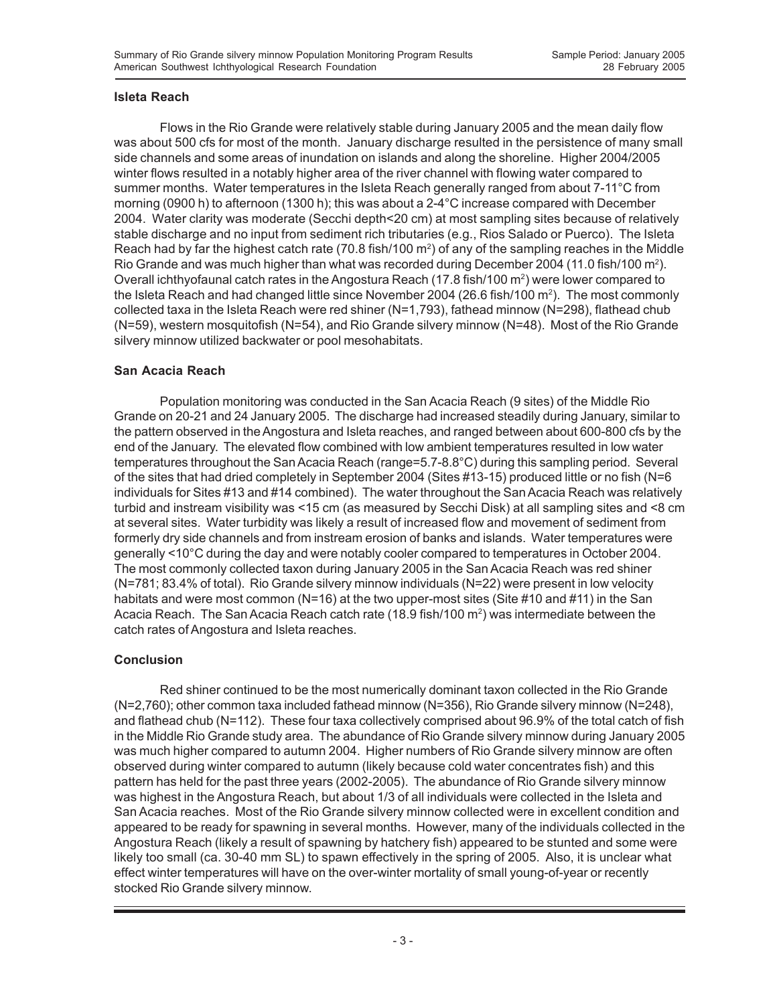### **Isleta Reach**

Flows in the Rio Grande were relatively stable during January 2005 and the mean daily flow was about 500 cfs for most of the month. January discharge resulted in the persistence of many small side channels and some areas of inundation on islands and along the shoreline. Higher 2004/2005 winter flows resulted in a notably higher area of the river channel with flowing water compared to summer months. Water temperatures in the Isleta Reach generally ranged from about 7-11°C from morning (0900 h) to afternoon (1300 h); this was about a 2-4°C increase compared with December 2004. Water clarity was moderate (Secchi depth<20 cm) at most sampling sites because of relatively stable discharge and no input from sediment rich tributaries (e.g., Rios Salado or Puerco). The Isleta Reach had by far the highest catch rate (70.8 fish/100 m<sup>2</sup>) of any of the sampling reaches in the Middle Rio Grande and was much higher than what was recorded during December 2004 (11.0 fish/100 m<sup>2</sup>). Overall ichthyofaunal catch rates in the Angostura Reach (17.8 fish/100 m<sup>2</sup>) were lower compared to the Isleta Reach and had changed little since November 2004 (26.6 fish/100 m²). The most commonly collected taxa in the Isleta Reach were red shiner (N=1,793), fathead minnow (N=298), flathead chub (N=59), western mosquitofish (N=54), and Rio Grande silvery minnow (N=48). Most of the Rio Grande silvery minnow utilized backwater or pool mesohabitats.

### **San Acacia Reach**

Population monitoring was conducted in the San Acacia Reach (9 sites) of the Middle Rio Grande on 20-21 and 24 January 2005. The discharge had increased steadily during January, similar to the pattern observed in the Angostura and Isleta reaches, and ranged between about 600-800 cfs by the end of the January. The elevated flow combined with low ambient temperatures resulted in low water temperatures throughout the San Acacia Reach (range=5.7-8.8°C) during this sampling period. Several of the sites that had dried completely in September 2004 (Sites #13-15) produced little or no fish (N=6 individuals for Sites #13 and #14 combined). The water throughout the San Acacia Reach was relatively turbid and instream visibility was <15 cm (as measured by Secchi Disk) at all sampling sites and <8 cm at several sites. Water turbidity was likely a result of increased flow and movement of sediment from formerly dry side channels and from instream erosion of banks and islands. Water temperatures were generally <10°C during the day and were notably cooler compared to temperatures in October 2004. The most commonly collected taxon during January 2005 in the San Acacia Reach was red shiner (N=781; 83.4% of total). Rio Grande silvery minnow individuals (N=22) were present in low velocity habitats and were most common (N=16) at the two upper-most sites (Site #10 and #11) in the San Acacia Reach. The San Acacia Reach catch rate (18.9 fish/100 m<sup>2</sup>) was intermediate between the catch rates of Angostura and Isleta reaches.

### **Conclusion**

Red shiner continued to be the most numerically dominant taxon collected in the Rio Grande (N=2,760); other common taxa included fathead minnow (N=356), Rio Grande silvery minnow (N=248), and flathead chub (N=112). These four taxa collectively comprised about 96.9% of the total catch of fish in the Middle Rio Grande study area. The abundance of Rio Grande silvery minnow during January 2005 was much higher compared to autumn 2004. Higher numbers of Rio Grande silvery minnow are often observed during winter compared to autumn (likely because cold water concentrates fish) and this pattern has held for the past three years (2002-2005). The abundance of Rio Grande silvery minnow was highest in the Angostura Reach, but about 1/3 of all individuals were collected in the Isleta and San Acacia reaches. Most of the Rio Grande silvery minnow collected were in excellent condition and appeared to be ready for spawning in several months. However, many of the individuals collected in the Angostura Reach (likely a result of spawning by hatchery fish) appeared to be stunted and some were likely too small (ca. 30-40 mm SL) to spawn effectively in the spring of 2005. Also, it is unclear what effect winter temperatures will have on the over-winter mortality of small young-of-year or recently stocked Rio Grande silvery minnow.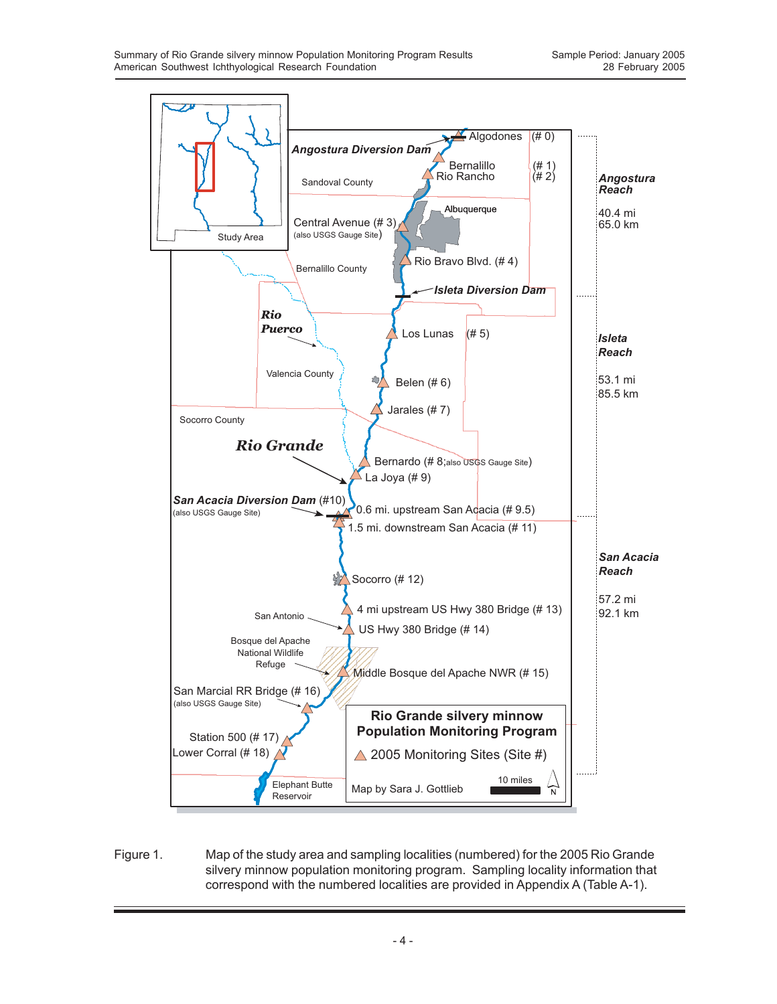

Figure 1. Map of the study area and sampling localities (numbered) for the 2005 Rio Grande silvery minnow population monitoring program. Sampling locality information that correspond with the numbered localities are provided in Appendix A (Table A-1).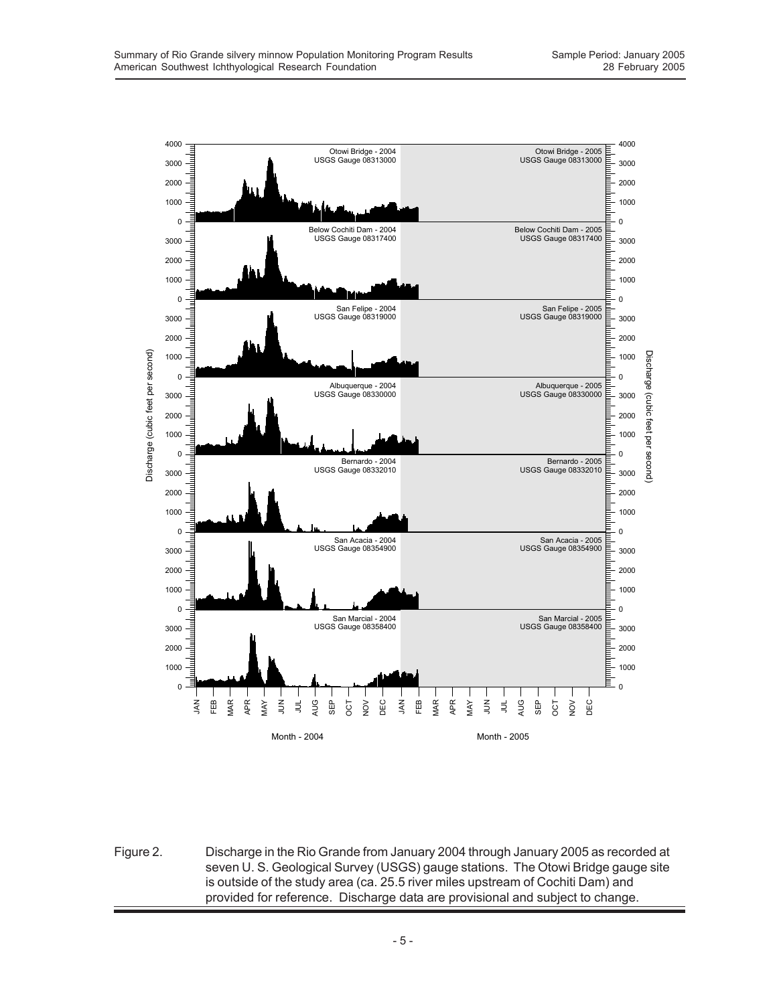

Figure 2. Discharge in the Rio Grande from January 2004 through January 2005 as recorded at seven U. S. Geological Survey (USGS) gauge stations. The Otowi Bridge gauge site is outside of the study area (ca. 25.5 river miles upstream of Cochiti Dam) and provided for reference. Discharge data are provisional and subject to change.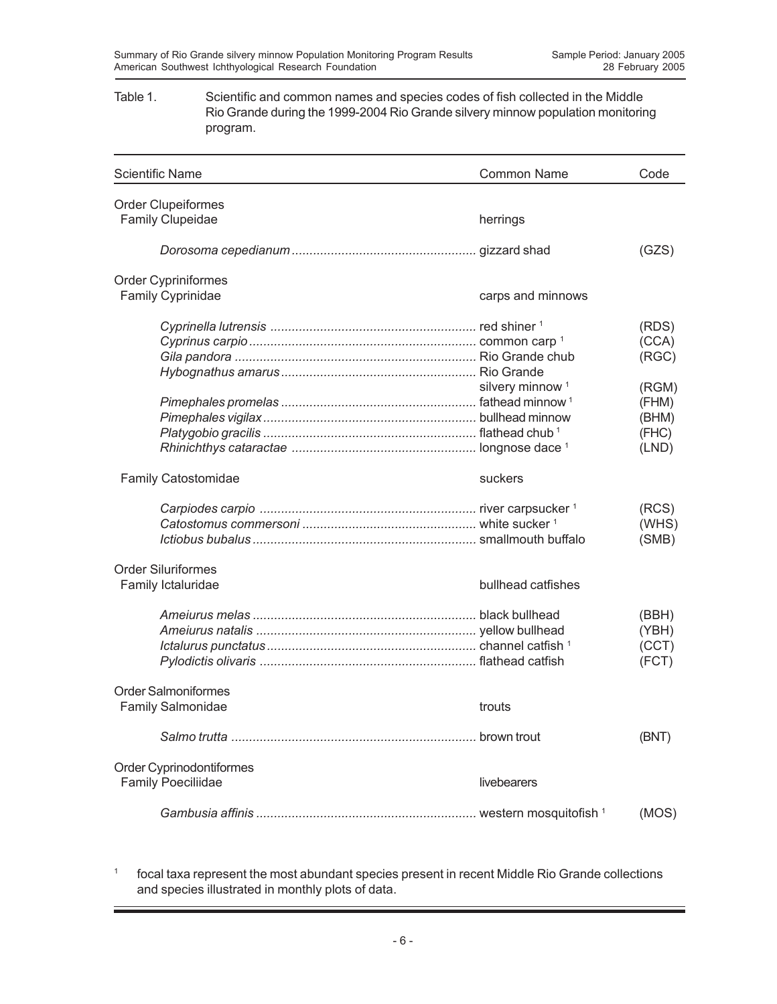#### Table 1. Scientific and common names and species codes of fish collected in the Middle Rio Grande during the 1999-2004 Rio Grande silvery minnow population monitoring program.

| <b>Scientific Name</b>     | <b>Common Name</b>          | Code           |
|----------------------------|-----------------------------|----------------|
| <b>Order Clupeiformes</b>  |                             |                |
| <b>Family Clupeidae</b>    | herrings                    |                |
|                            |                             | (GZS)          |
| <b>Order Cypriniformes</b> |                             |                |
| Family Cyprinidae          | carps and minnows           |                |
|                            |                             | (RDS)          |
|                            |                             | (CCA)<br>(RGC) |
|                            |                             |                |
|                            | silvery minnow <sup>1</sup> | (RGM)          |
|                            |                             | (FHM)          |
|                            |                             | (BHM)          |
|                            |                             | (FHC)          |
|                            |                             | (LND)          |
| Family Catostomidae        | suckers                     |                |
|                            |                             | (RCS)          |
|                            |                             | (WHS)          |
|                            |                             | (SMB)          |
| <b>Order Siluriformes</b>  |                             |                |
| Family Ictaluridae         | bullhead catfishes          |                |
|                            |                             | (BBH)          |
|                            |                             | (YBH)          |
|                            |                             | (CCT)          |
|                            |                             | (FCT)          |
| <b>Order Salmoniformes</b> |                             |                |
| <b>Family Salmonidae</b>   | trouts                      |                |
|                            |                             | (BNT)          |
| Order Cyprinodontiformes   |                             |                |
| <b>Family Poeciliidae</b>  | livebearers                 |                |
|                            |                             | (MOS)          |

<sup>1</sup> focal taxa represent the most abundant species present in recent Middle Rio Grande collections and species illustrated in monthly plots of data.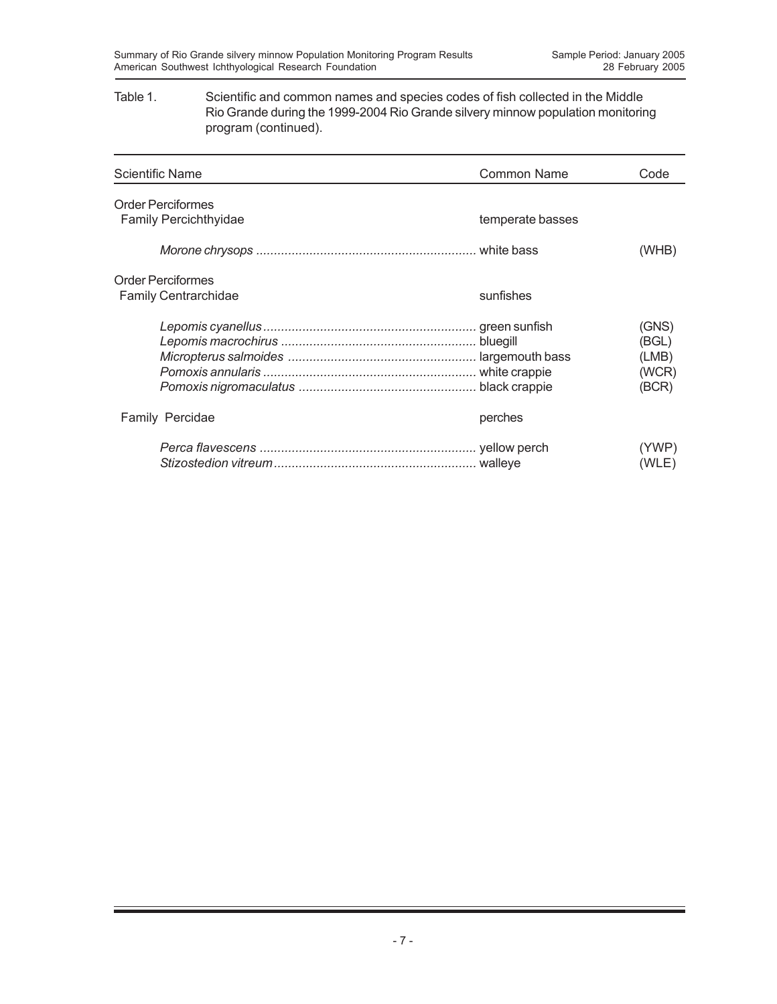#### Table 1. Scientific and common names and species codes of fish collected in the Middle Rio Grande during the 1999-2004 Rio Grande silvery minnow population monitoring program (continued).

| Scientific Name                                          | <b>Common Name</b> | Code                                      |
|----------------------------------------------------------|--------------------|-------------------------------------------|
| <b>Order Perciformes</b><br><b>Family Percichthyidae</b> | temperate basses   |                                           |
|                                                          |                    | (WHB)                                     |
| <b>Order Perciformes</b><br><b>Family Centrarchidae</b>  | sunfishes          |                                           |
|                                                          |                    | (GNS)<br>(BGL)<br>(LMB)<br>(WCR)<br>(BCR) |
| Family Percidae                                          | perches            |                                           |
|                                                          |                    | (YWP)<br>(WLE)                            |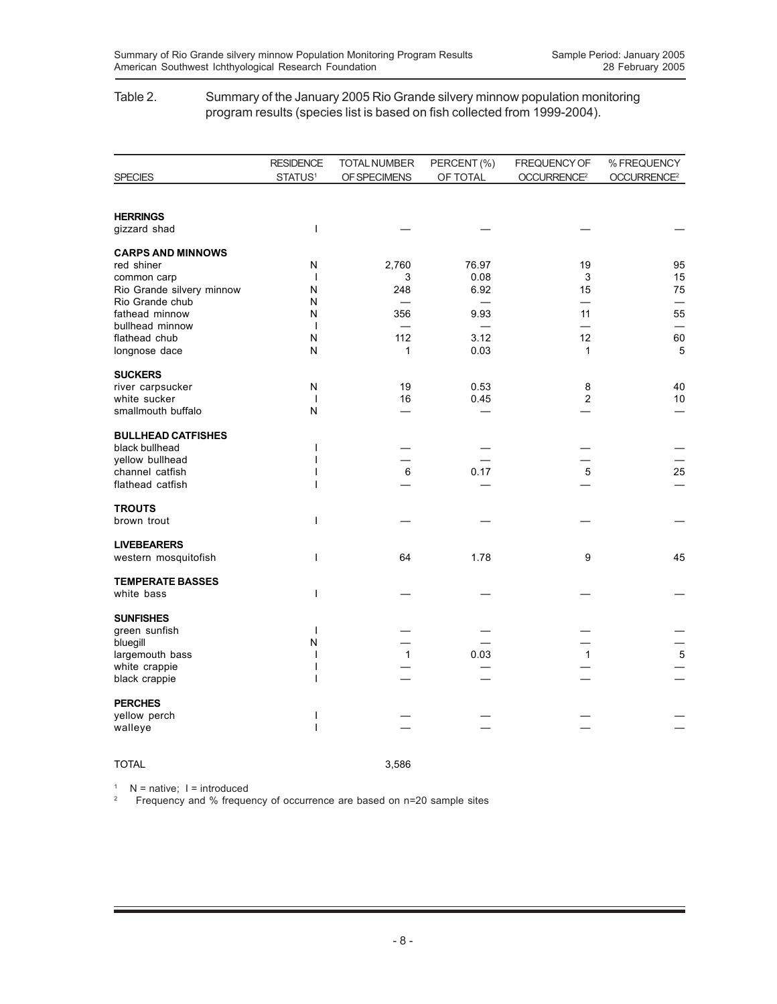#### Table 2. Summary of the January 2005 Rio Grande silvery minnow population monitoring program results (species list is based on fish collected from 1999-2004).

|                                              | <b>RESIDENCE</b>                         | <b>TOTAL NUMBER</b> | PERCENT (%) | FREQUENCY OF            | % FREQUENCY             |
|----------------------------------------------|------------------------------------------|---------------------|-------------|-------------------------|-------------------------|
| <b>SPECIES</b>                               | STATUS <sup>1</sup>                      | OF SPECIMENS        | OF TOTAL    | OCCURRENCE <sup>2</sup> | OCCURRENCE <sup>2</sup> |
| <b>HERRINGS</b>                              |                                          |                     |             |                         |                         |
| gizzard shad                                 | $\overline{1}$                           |                     |             |                         |                         |
| <b>CARPS AND MINNOWS</b>                     |                                          |                     |             |                         |                         |
| red shiner                                   | N                                        | 2,760               | 76.97       | 19                      | 95                      |
| common carp                                  | $\mathbf{I}$                             | 3                   | 0.08        | 3                       | 15                      |
| Rio Grande silvery minnow<br>Rio Grande chub | N<br>N                                   | 248                 | 6.92        | 15<br>═                 | 75                      |
| fathead minnow                               | N                                        | 356                 | 9.93        | 11                      | 55                      |
| bullhead minnow                              | $\mathbf{I}$                             |                     |             |                         |                         |
| flathead chub                                | N                                        | 112                 | 3.12        | 12                      | 60                      |
| longnose dace                                | N                                        | 1                   | 0.03        | $\mathbf{1}$            | 5                       |
| <b>SUCKERS</b>                               |                                          |                     |             |                         |                         |
| river carpsucker                             | N                                        | 19                  | 0.53        | 8                       | 40                      |
| white sucker                                 | $\mathbf{I}$                             | 16                  | 0.45        | 2                       | 10                      |
| smallmouth buffalo                           | N                                        |                     |             |                         |                         |
| <b>BULLHEAD CATFISHES</b>                    |                                          |                     |             |                         |                         |
| black bullhead                               | $\overline{\phantom{a}}$                 |                     |             |                         |                         |
| vellow bullhead                              | $\mathsf{l}$                             |                     |             |                         |                         |
| channel catfish<br>flathead catfish          | 1<br>$\mathbf{I}$                        | 6                   | 0.17        | 5                       | 25                      |
|                                              |                                          |                     |             |                         |                         |
| <b>TROUTS</b>                                | $\mathbf{I}$                             |                     |             |                         |                         |
| brown trout                                  |                                          |                     |             |                         |                         |
| <b>LIVEBEARERS</b>                           |                                          |                     |             |                         |                         |
| western mosquitofish                         | $\overline{1}$                           | 64                  | 1.78        | 9                       | 45                      |
| <b>TEMPERATE BASSES</b>                      |                                          |                     |             |                         |                         |
| white bass                                   | $\overline{1}$                           |                     |             |                         |                         |
| <b>SUNFISHES</b>                             |                                          |                     |             |                         |                         |
| green sunfish                                | $\overline{\phantom{a}}$                 |                     |             |                         |                         |
| bluegill                                     | N                                        |                     |             |                         |                         |
| largemouth bass                              | $\mathbf{I}$                             | $\mathbf{1}$        | 0.03        | $\mathbf{1}$            | 5                       |
| white crappie<br>black crappie               | $\overline{\phantom{a}}$<br>$\mathsf{l}$ |                     |             |                         |                         |
|                                              |                                          |                     |             |                         |                         |
| <b>PERCHES</b>                               |                                          |                     |             |                         |                         |
| yellow perch                                 | $\mathsf{l}$                             |                     |             |                         |                         |
| walleye                                      | $\overline{1}$                           |                     |             |                         |                         |
|                                              |                                          |                     |             |                         |                         |

TOTAL 3,586

<sup>1</sup> N = native;  $I =$  introduced

2 Frequency and % frequency of occurrence are based on n=20 sample sites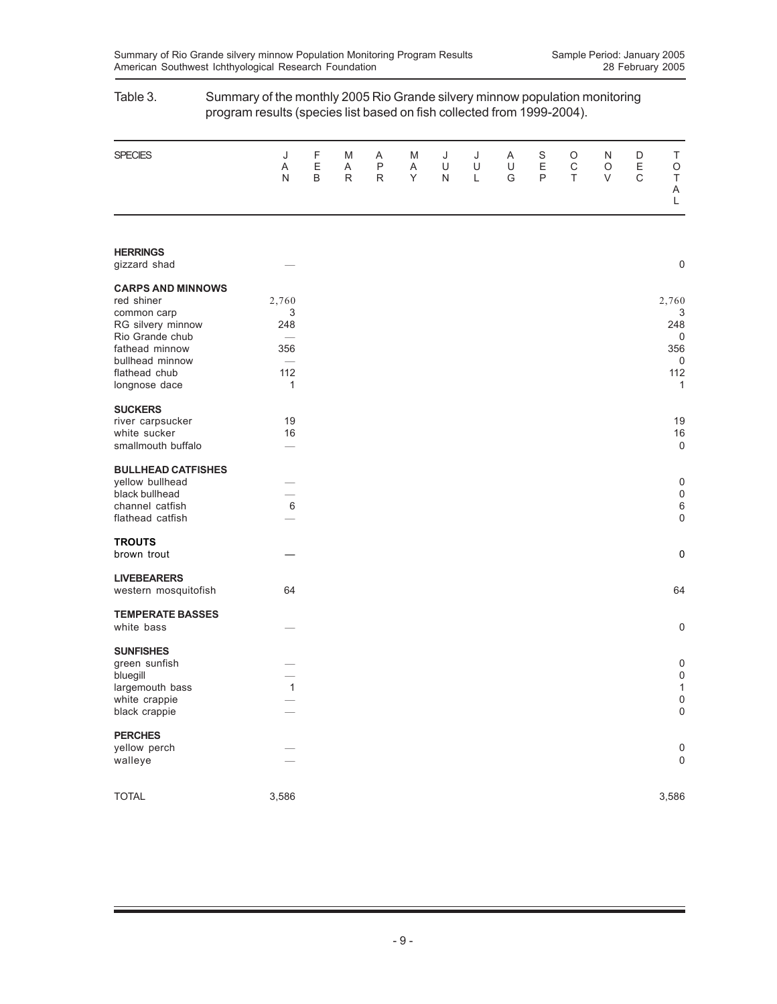|                                   | program results (species list based on fish collected from 1999-2004). |             |                        |                                   |             |             |             |             |                       |                        |             |             |                             |
|-----------------------------------|------------------------------------------------------------------------|-------------|------------------------|-----------------------------------|-------------|-------------|-------------|-------------|-----------------------|------------------------|-------------|-------------|-----------------------------|
| <b>SPECIES</b>                    | J<br>Α<br>N                                                            | F<br>E<br>B | M<br>Α<br>$\mathsf{R}$ | Α<br>$\mathsf{P}$<br>$\mathsf{R}$ | M<br>Α<br>Υ | J<br>U<br>N | J<br>U<br>L | A<br>U<br>G | S<br>$\mathsf E$<br>P | O<br>$\mathsf C$<br>T. | N<br>O<br>V | D<br>Ε<br>C | Τ<br>O<br>$\sf T$<br>Α<br>L |
|                                   |                                                                        |             |                        |                                   |             |             |             |             |                       |                        |             |             |                             |
| <b>HERRINGS</b>                   |                                                                        |             |                        |                                   |             |             |             |             |                       |                        |             |             |                             |
| gizzard shad                      |                                                                        |             |                        |                                   |             |             |             |             |                       |                        |             |             | $\mathbf 0$                 |
| <b>CARPS AND MINNOWS</b>          |                                                                        |             |                        |                                   |             |             |             |             |                       |                        |             |             |                             |
| red shiner                        | 2,760                                                                  |             |                        |                                   |             |             |             |             |                       |                        |             |             | 2,760                       |
| common carp                       | 3                                                                      |             |                        |                                   |             |             |             |             |                       |                        |             |             | 3                           |
| RG silvery minnow                 | 248                                                                    |             |                        |                                   |             |             |             |             |                       |                        |             |             | 248                         |
| Rio Grande chub                   | $\overbrace{\phantom{12333}}$                                          |             |                        |                                   |             |             |             |             |                       |                        |             |             | 0                           |
| fathead minnow<br>bullhead minnow | 356                                                                    |             |                        |                                   |             |             |             |             |                       |                        |             |             | 356<br>0                    |
| flathead chub                     | 112                                                                    |             |                        |                                   |             |             |             |             |                       |                        |             |             | 112                         |
| longnose dace                     | 1                                                                      |             |                        |                                   |             |             |             |             |                       |                        |             |             | 1                           |
| <b>SUCKERS</b>                    |                                                                        |             |                        |                                   |             |             |             |             |                       |                        |             |             |                             |
| river carpsucker                  | 19                                                                     |             |                        |                                   |             |             |             |             |                       |                        |             |             | 19                          |
| white sucker                      | 16                                                                     |             |                        |                                   |             |             |             |             |                       |                        |             |             | 16                          |
| smallmouth buffalo                |                                                                        |             |                        |                                   |             |             |             |             |                       |                        |             |             | $\boldsymbol{0}$            |
| <b>BULLHEAD CATFISHES</b>         |                                                                        |             |                        |                                   |             |             |             |             |                       |                        |             |             |                             |
| yellow bullhead                   |                                                                        |             |                        |                                   |             |             |             |             |                       |                        |             |             | 0                           |
| black bullhead                    |                                                                        |             |                        |                                   |             |             |             |             |                       |                        |             |             | $\mathbf 0$                 |
| channel catfish                   | 6                                                                      |             |                        |                                   |             |             |             |             |                       |                        |             |             | 6                           |
| flathead catfish                  |                                                                        |             |                        |                                   |             |             |             |             |                       |                        |             |             | $\mathbf 0$                 |
| <b>TROUTS</b>                     |                                                                        |             |                        |                                   |             |             |             |             |                       |                        |             |             |                             |
| brown trout                       |                                                                        |             |                        |                                   |             |             |             |             |                       |                        |             |             | 0                           |
| <b>LIVEBEARERS</b>                |                                                                        |             |                        |                                   |             |             |             |             |                       |                        |             |             |                             |
| western mosquitofish              | 64                                                                     |             |                        |                                   |             |             |             |             |                       |                        |             |             | 64                          |
| <b>TEMPERATE BASSES</b>           |                                                                        |             |                        |                                   |             |             |             |             |                       |                        |             |             |                             |
| white bass                        |                                                                        |             |                        |                                   |             |             |             |             |                       |                        |             |             | $\mathbf 0$                 |
| <b>SUNFISHES</b>                  |                                                                        |             |                        |                                   |             |             |             |             |                       |                        |             |             |                             |
| green sunfish                     |                                                                        |             |                        |                                   |             |             |             |             |                       |                        |             |             | 0                           |
| bluegill                          |                                                                        |             |                        |                                   |             |             |             |             |                       |                        |             |             | $\boldsymbol{0}$            |
| largemouth bass                   | 1                                                                      |             |                        |                                   |             |             |             |             |                       |                        |             |             | 1                           |
| white crappie                     |                                                                        |             |                        |                                   |             |             |             |             |                       |                        |             |             | $\mathbf 0$                 |
| black crappie                     |                                                                        |             |                        |                                   |             |             |             |             |                       |                        |             |             | $\mathbf 0$                 |
| <b>PERCHES</b>                    |                                                                        |             |                        |                                   |             |             |             |             |                       |                        |             |             |                             |
| yellow perch                      |                                                                        |             |                        |                                   |             |             |             |             |                       |                        |             |             | 0                           |
| walleye                           |                                                                        |             |                        |                                   |             |             |             |             |                       |                        |             |             | $\mathbf 0$                 |
|                                   |                                                                        |             |                        |                                   |             |             |             |             |                       |                        |             |             |                             |
| <b>TOTAL</b>                      | 3,586                                                                  |             |                        |                                   |             |             |             |             |                       |                        |             |             | 3,586                       |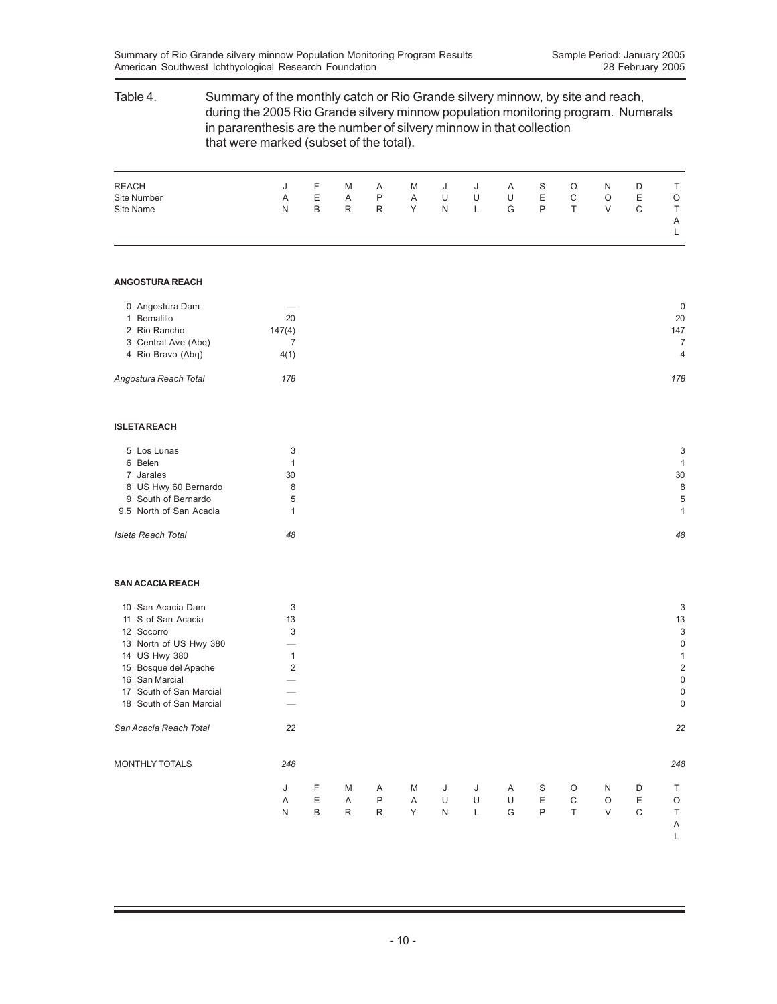### Table 4. Summary of the monthly catch or Rio Grande silvery minnow, by site and reach, during the 2005 Rio Grande silvery minnow population monitoring program. Numerals in pararenthesis are the number of silvery minnow in that collection that were marked (subset of the total).

| <b>REACH</b> |   | J F |   | M A                                                                                                                                                                                                                            |   |   |    | M J J A S |    | $\circ$      | N D     | D |              |
|--------------|---|-----|---|--------------------------------------------------------------------------------------------------------------------------------------------------------------------------------------------------------------------------------|---|---|----|-----------|----|--------------|---------|---|--------------|
| Site Number  | A | E   | A | P                                                                                                                                                                                                                              | A | U | U  | U         | E. | C            | $\circ$ | Е | $\circ$      |
| Site Name    | N | B   | R | R and the set of the set of the set of the set of the set of the set of the set of the set of the set of the set of the set of the set of the set of the set of the set of the set of the set of the set of the set of the set | Y | N | L. | G         | P  | $\mathsf{T}$ | $\vee$  |   | T.           |
|              |   |     |   |                                                                                                                                                                                                                                |   |   |    |           |    |              |         |   | $\mathsf{A}$ |
|              |   |     |   |                                                                                                                                                                                                                                |   |   |    |           |    |              |         |   |              |

#### **ANGOSTURA REACH**

| 0 Angostura Dam       |        | 0              |
|-----------------------|--------|----------------|
| 1 Bernalillo          | 20     | 20             |
| 2 Rio Rancho          | 147(4) | 147            |
| 3 Central Ave (Abq)   |        | 7              |
| 4 Rio Bravo (Abg)     | 4(1)   | $\overline{4}$ |
| Angostura Reach Total | 178    | 178            |
|                       |        |                |
|                       |        |                |

#### **ISLETA REACH**

| 5 Los Lunas             |    | 3  |
|-------------------------|----|----|
| 6 Belen                 |    |    |
| 7 Jarales               | 30 | 30 |
| 8 US Hwy 60 Bernardo    | 8  | 8  |
| 9 South of Bernardo     | 5  | 5  |
| 9.5 North of San Acacia |    |    |
| Isleta Reach Total      | 48 | 48 |

#### **SAN ACACIA REACH**

| 10 San Acacia Dam       | 3   |   |              |              |   |   |   |   |              |         |         |   | 3              |
|-------------------------|-----|---|--------------|--------------|---|---|---|---|--------------|---------|---------|---|----------------|
| S of San Acacia<br>11   | 13  |   |              |              |   |   |   |   |              |         |         |   | 13             |
| 12 Socorro              | 3   |   |              |              |   |   |   |   |              |         |         |   | 3              |
| 13 North of US Hwy 380  |     |   |              |              |   |   |   |   |              |         |         |   | $\Omega$       |
| 14 US Hwy 380           | 1   |   |              |              |   |   |   |   |              |         |         |   |                |
| 15 Bosque del Apache    | 2   |   |              |              |   |   |   |   |              |         |         |   | $\overline{2}$ |
| 16 San Marcial          |     |   |              |              |   |   |   |   |              |         |         |   | $\mathbf 0$    |
| 17 South of San Marcial |     |   |              |              |   |   |   |   |              |         |         |   | 0              |
| 18 South of San Marcial |     |   |              |              |   |   |   |   |              |         |         |   | 0              |
| San Acacia Reach Total  | 22  |   |              |              |   |   |   |   |              |         |         |   | 22             |
| <b>MONTHLY TOTALS</b>   | 248 |   |              |              |   |   |   |   |              |         |         |   | 248            |
|                         | J   | F | M            | A            | M | J | J | Α | S            | $\circ$ | N       | D |                |
|                         | A   | Ε | Α            | $\mathsf{P}$ | A | U | U | U | E            | C       | $\circ$ | Ε | O              |
|                         | N   | B | $\mathsf{R}$ | $\mathsf{R}$ | Y | N | L | G | $\mathsf{P}$ | T       | $\vee$  | C |                |
|                         |     |   |              |              |   |   |   |   |              |         |         |   | A              |
|                         |     |   |              |              |   |   |   |   |              |         |         |   |                |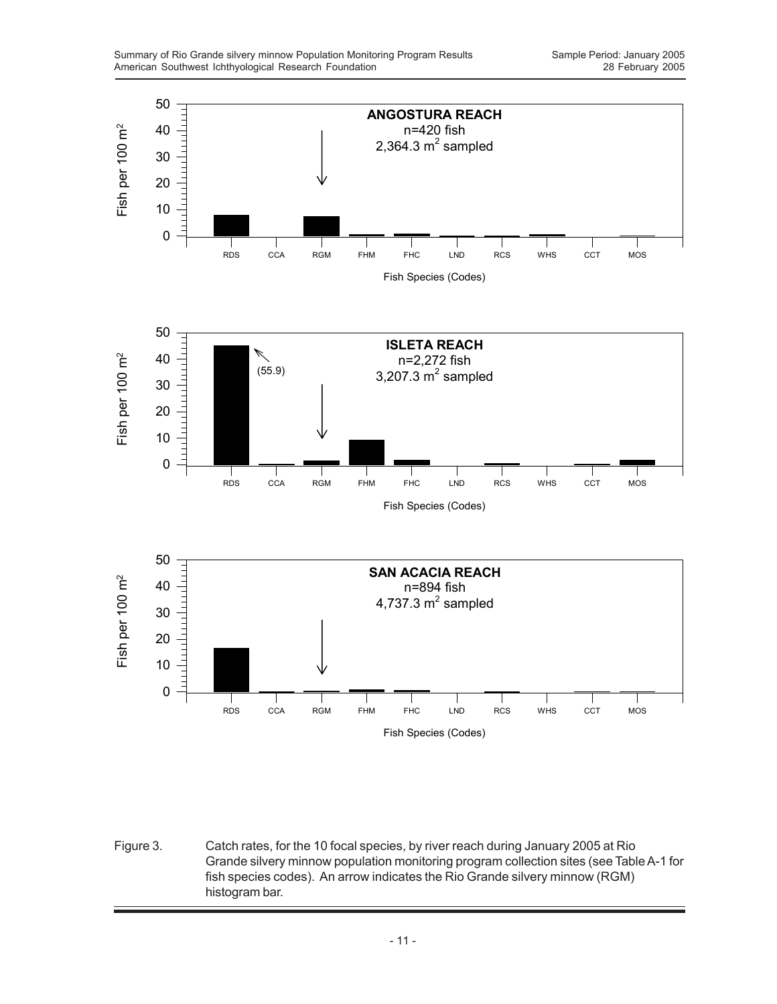

Figure 3. Catch rates, for the 10 focal species, by river reach during January 2005 at Rio Grande silvery minnow population monitoring program collection sites (see Table A-1 for fish species codes). An arrow indicates the Rio Grande silvery minnow (RGM) histogram bar.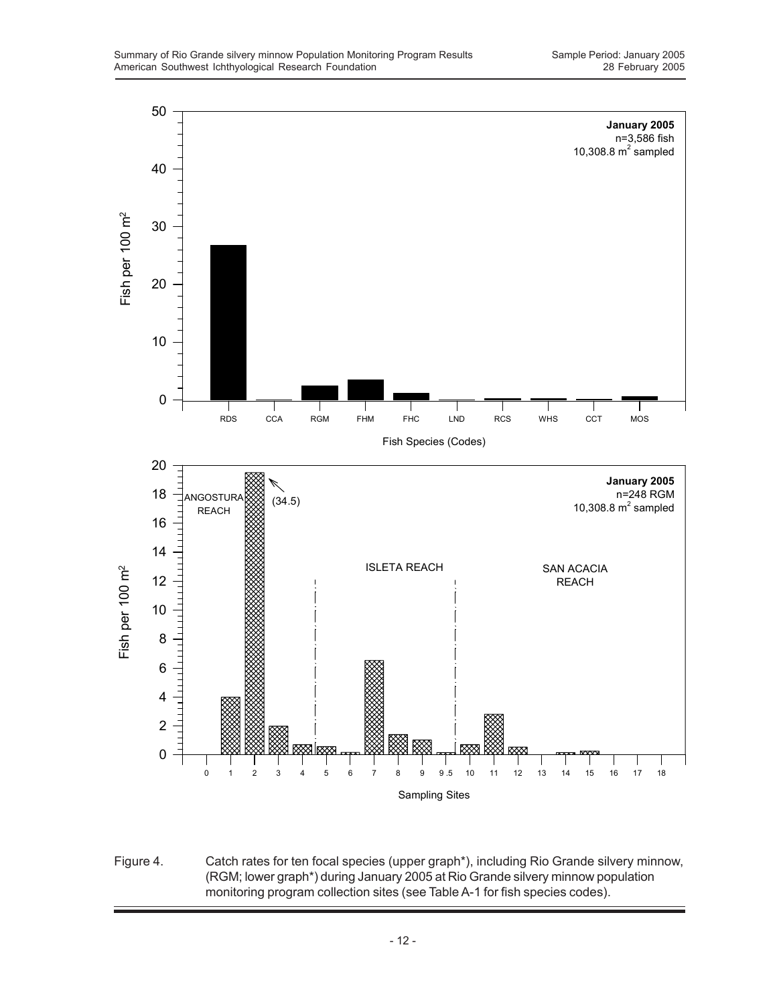

Figure 4. Catch rates for ten focal species (upper graph\*), including Rio Grande silvery minnow, (RGM; lower graph\*) during January 2005 at Rio Grande silvery minnow population monitoring program collection sites (see Table A-1 for fish species codes).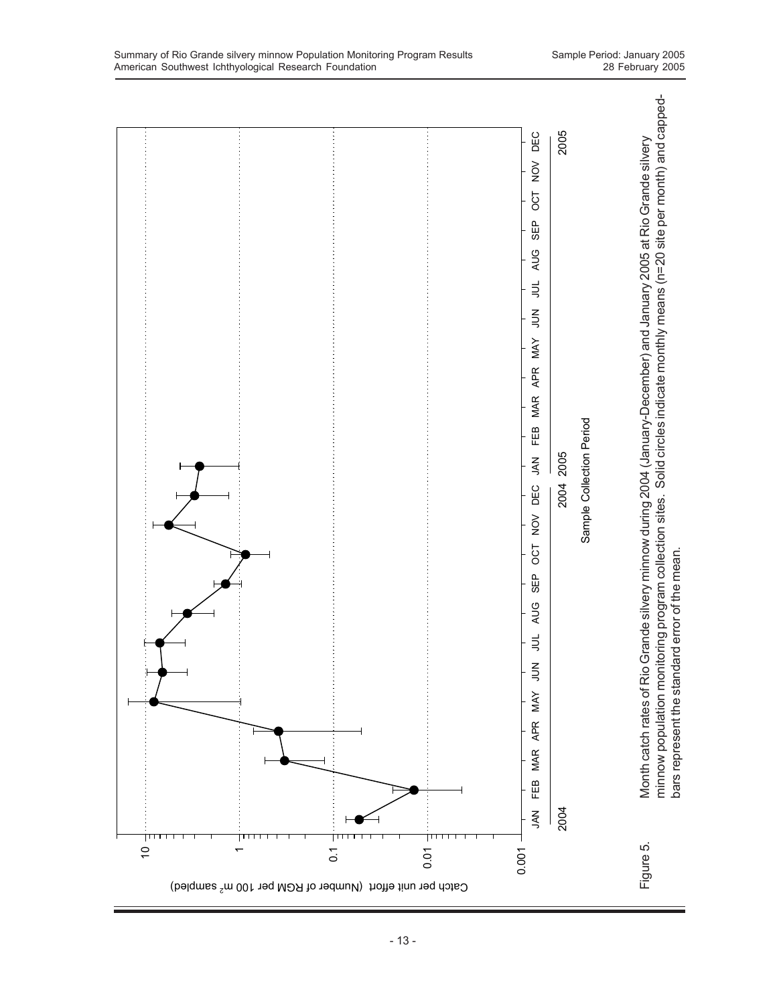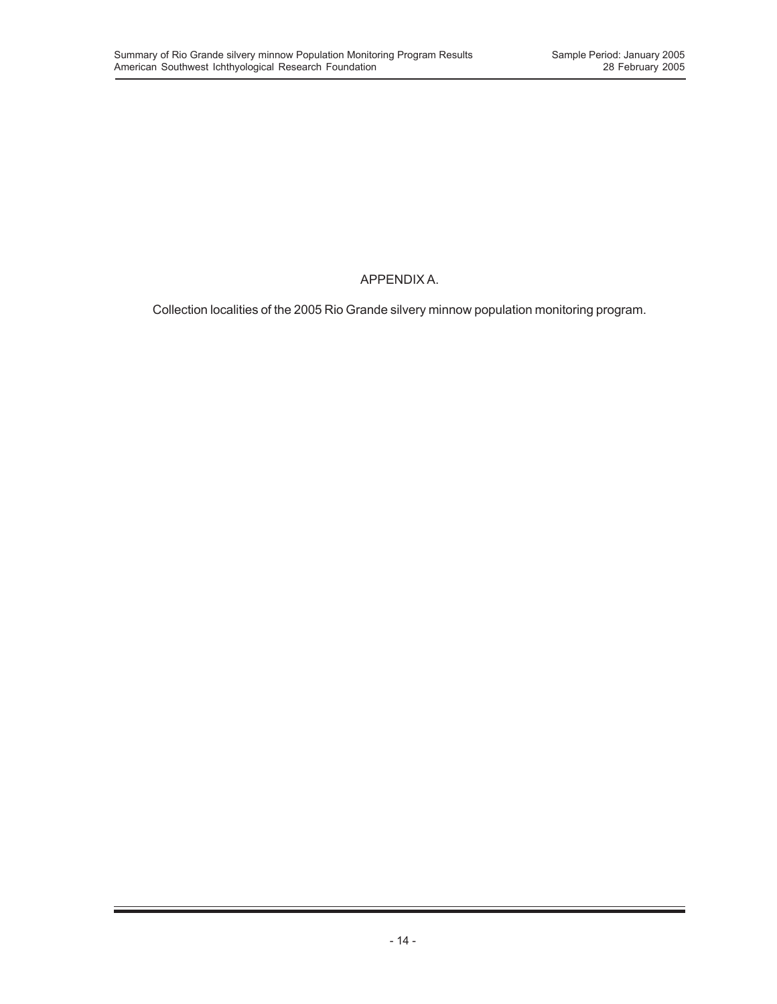## APPENDIX A.

Collection localities of the 2005 Rio Grande silvery minnow population monitoring program.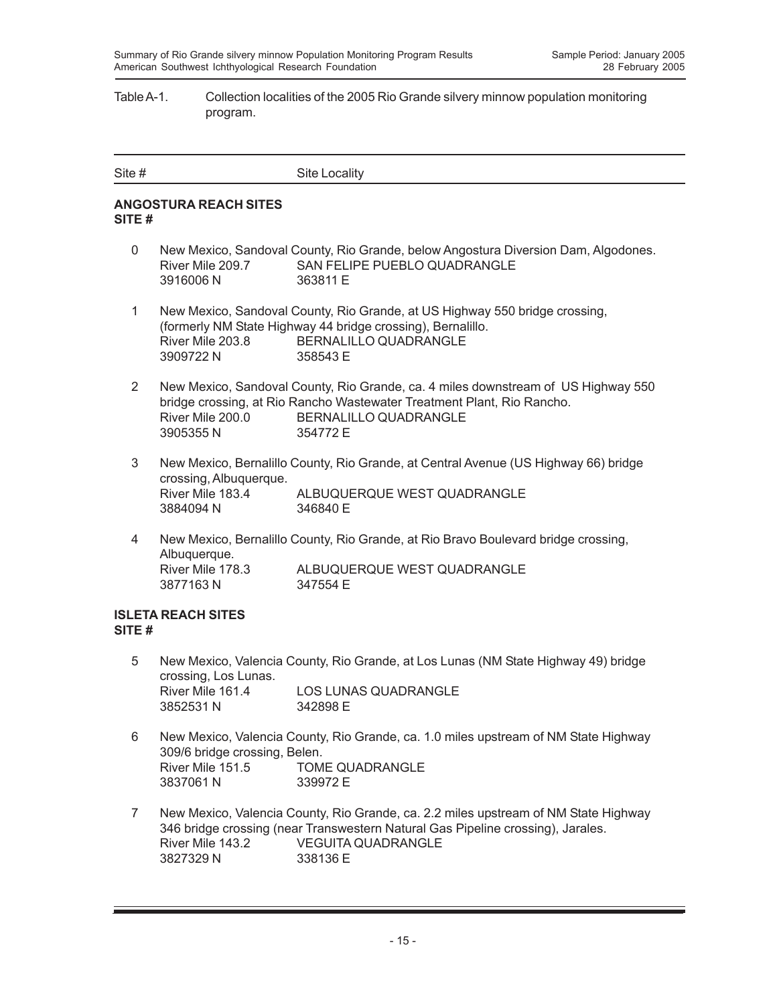#### Table A-1. Collection localities of the 2005 Rio Grande silvery minnow population monitoring program.

| Site # | Site Locality |
|--------|---------------|
|        |               |

### **ANGOSTURA REACH SITES SITE #**

- 0 New Mexico, Sandoval County, Rio Grande, below Angostura Diversion Dam, Algodones. River Mile 209.7 SAN FELIPE PUEBLO QUADRANGLE 3916006 N 363811 E
- 1 New Mexico, Sandoval County, Rio Grande, at US Highway 550 bridge crossing, (formerly NM State Highway 44 bridge crossing), Bernalillo. River Mile 203.8 BERNALILLO QUADRANGLE 3909722 N 358543 E
- 2 New Mexico, Sandoval County, Rio Grande, ca. 4 miles downstream of US Highway 550 bridge crossing, at Rio Rancho Wastewater Treatment Plant, Rio Rancho. River Mile 200.0 BERNALILLO QUADRANGLE 3905355 N 354772 E
- 3 New Mexico, Bernalillo County, Rio Grande, at Central Avenue (US Highway 66) bridge crossing, Albuquerque. River Mile 183.4 ALBUQUERQUE WEST QUADRANGLE 3884094 N 346840 E
- 4 New Mexico, Bernalillo County, Rio Grande, at Rio Bravo Boulevard bridge crossing, Albuquerque. River Mile 178.3 ALBUQUERQUE WEST QUADRANGLE 3877163 N 347554 E

### **ISLETA REACH SITES SITE #**

- 5 New Mexico, Valencia County, Rio Grande, at Los Lunas (NM State Highway 49) bridge crossing, Los Lunas. River Mile 161.4 LOS LUNAS QUADRANGLE 3852531 N 342898 E
- 6 New Mexico, Valencia County, Rio Grande, ca. 1.0 miles upstream of NM State Highway 309/6 bridge crossing, Belen. River Mile 151.5 TOME QUADRANGLE 3837061 N 339972 E
- 7 New Mexico, Valencia County, Rio Grande, ca. 2.2 miles upstream of NM State Highway 346 bridge crossing (near Transwestern Natural Gas Pipeline crossing), Jarales. River Mile 143.2 VEGUITA QUADRANGLE 3827329 N 338136 E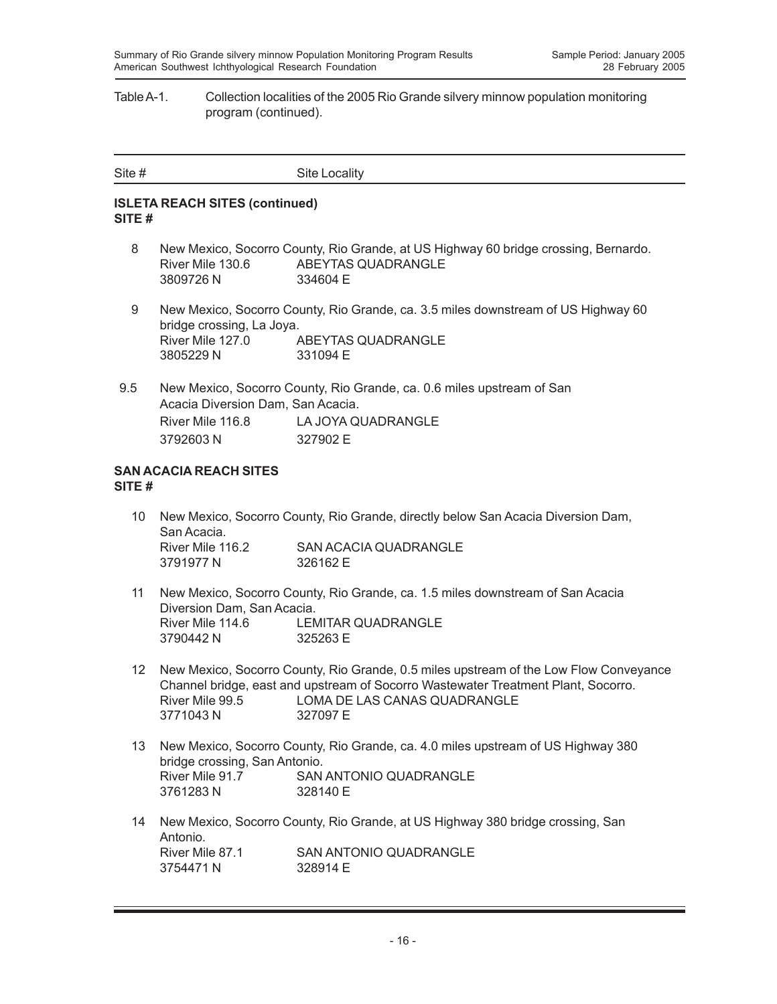#### Table A-1. Collection localities of the 2005 Rio Grande silvery minnow population monitoring program (continued).

| Site # | Site Locality |
|--------|---------------|
|        |               |

#### **ISLETA REACH SITES (continued) SITE #**

- 8 New Mexico, Socorro County, Rio Grande, at US Highway 60 bridge crossing, Bernardo. River Mile 130.6 ABEYTAS QUADRANGLE 3809726 N 334604 E
- 9 New Mexico, Socorro County, Rio Grande, ca. 3.5 miles downstream of US Highway 60 bridge crossing, La Joya. River Mile 127.0 ABEYTAS QUADRANGLE 3805229 N 331094 E
- 9.5 New Mexico, Socorro County, Rio Grande, ca. 0.6 miles upstream of San Acacia Diversion Dam, San Acacia. River Mile 116.8 LA JOYA QUADRANGLE 3792603 N 327902 E

#### **SAN ACACIA REACH SITES SITE #**

- 10 New Mexico, Socorro County, Rio Grande, directly below San Acacia Diversion Dam, San Acacia. River Mile 116.2 SAN ACACIA QUADRANGLE 3791977 N 326162 E
- 11 New Mexico, Socorro County, Rio Grande, ca. 1.5 miles downstream of San Acacia Diversion Dam, San Acacia. River Mile 114.6 LEMITAR QUADRANGLE 3790442 N 325263 E
- 12 New Mexico, Socorro County, Rio Grande, 0.5 miles upstream of the Low Flow Conveyance Channel bridge, east and upstream of Socorro Wastewater Treatment Plant, Socorro. River Mile 99.5 LOMA DE LAS CANAS QUADRANGLE 3771043 N 327097 E
- 13 New Mexico, Socorro County, Rio Grande, ca. 4.0 miles upstream of US Highway 380 bridge crossing, San Antonio. River Mile 91.7 SAN ANTONIO QUADRANGLE 3761283 N 328140 E
- 14 New Mexico, Socorro County, Rio Grande, at US Highway 380 bridge crossing, San Antonio.<br>River Mile 87.1 SAN ANTONIO QUADRANGLE 3754471 N 328914 F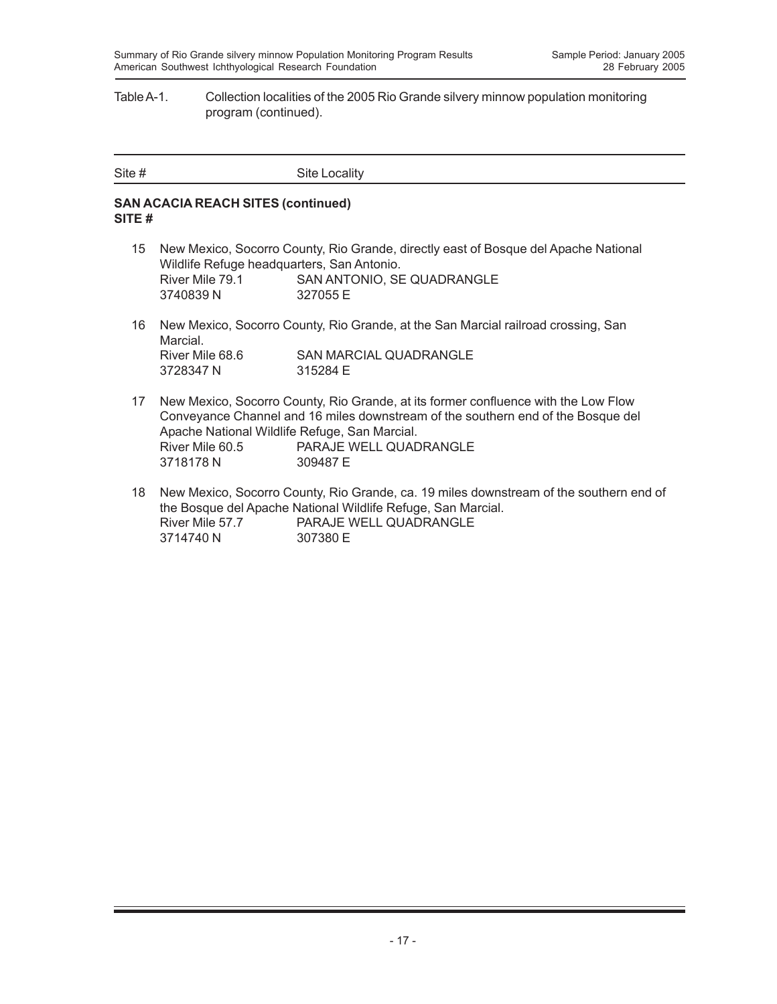#### Table A-1. Collection localities of the 2005 Rio Grande silvery minnow population monitoring program (continued).

| Site # |               |
|--------|---------------|
|        | Site Locality |

### **SAN ACACIA REACH SITES (continued) SITE #**

- 15 New Mexico, Socorro County, Rio Grande, directly east of Bosque del Apache National Wildlife Refuge headquarters, San Antonio. River Mile 79.1 SAN ANTONIO, SE QUADRANGLE 3740839 N 327055 E
- 16 New Mexico, Socorro County, Rio Grande, at the San Marcial railroad crossing, San Marcial. River Mile 68.6 SAN MARCIAL QUADRANGLE<br>3728347 N 315284 E 3728347 N
- 17 New Mexico, Socorro County, Rio Grande, at its former confluence with the Low Flow Conveyance Channel and 16 miles downstream of the southern end of the Bosque del Apache National Wildlife Refuge, San Marcial. River Mile 60.5 PARAJE WELL QUADRANGLE 3718178 N 309487 E
- 18 New Mexico, Socorro County, Rio Grande, ca. 19 miles downstream of the southern end of the Bosque del Apache National Wildlife Refuge, San Marcial. River Mile 57.7 PARAJE WELL QUADRANGLE 3714740 N 307380 E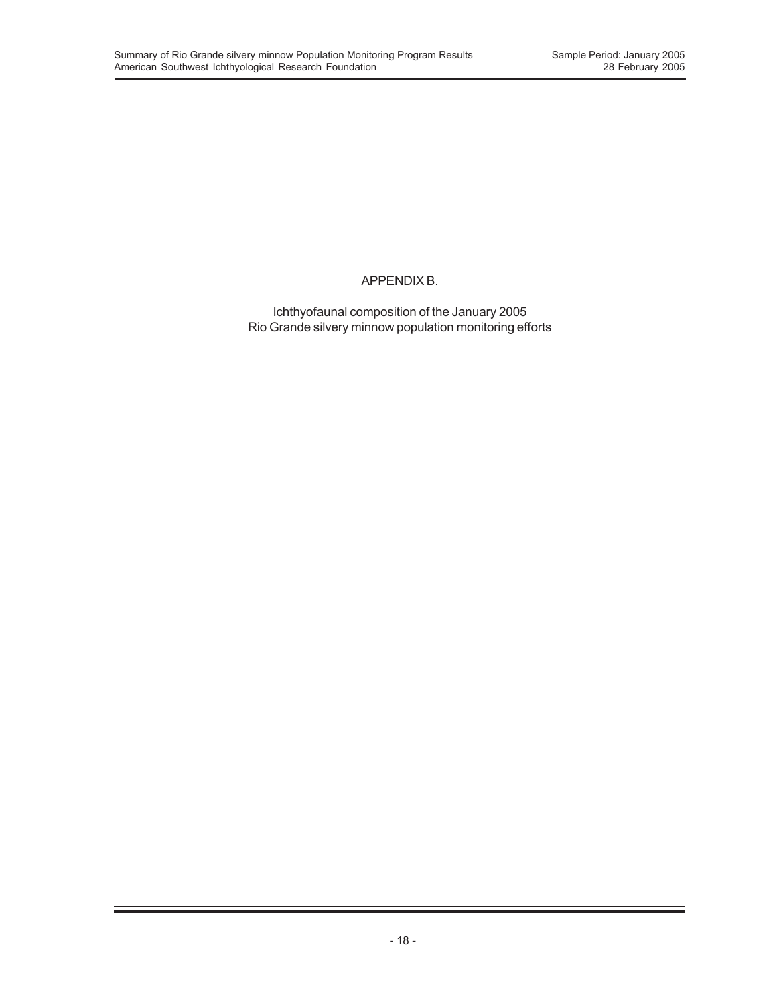### APPENDIX B.

Ichthyofaunal composition of the January 2005 Rio Grande silvery minnow population monitoring efforts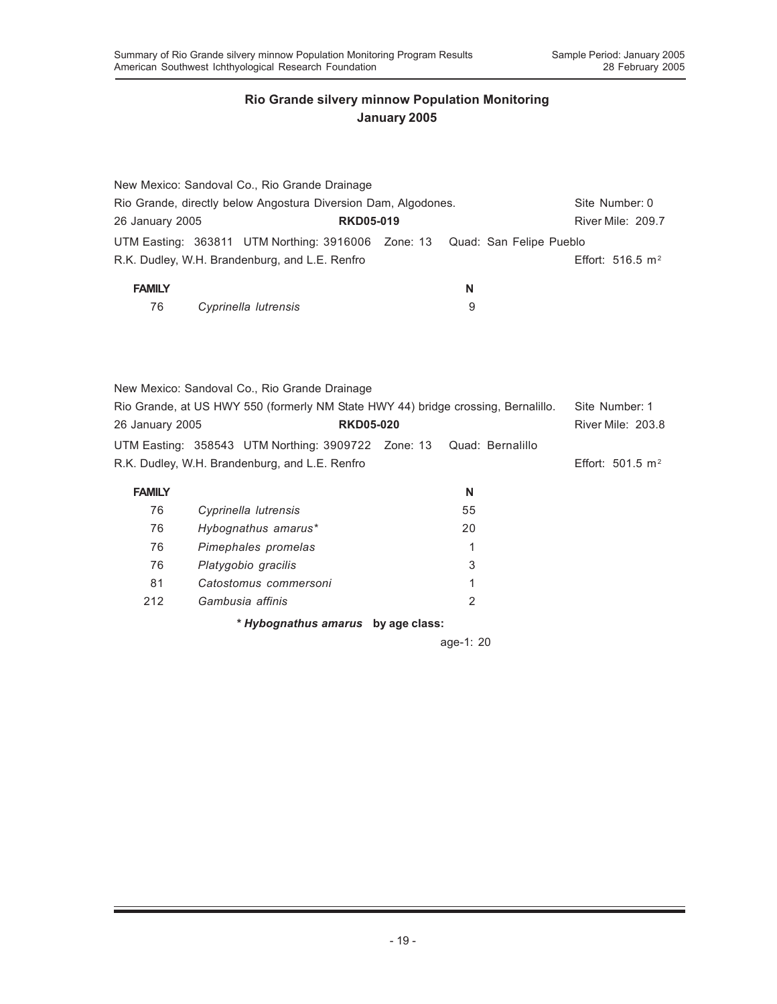|                                                                |  | New Mexico: Sandoval Co., Rio Grande Drainage                              |  |   |  |  |                     |
|----------------------------------------------------------------|--|----------------------------------------------------------------------------|--|---|--|--|---------------------|
| Rio Grande, directly below Angostura Diversion Dam, Algodones. |  | Site Number: 0                                                             |  |   |  |  |                     |
| 26 January 2005<br><b>RKD05-019</b>                            |  |                                                                            |  |   |  |  | River Mile: 209.7   |
|                                                                |  | UTM Easting: 363811 UTM Northing: 3916006 Zone: 13 Quad: San Felipe Pueblo |  |   |  |  |                     |
|                                                                |  | R.K. Dudley, W.H. Brandenburg, and L.E. Renfro                             |  |   |  |  | Effort: 516.5 $m^2$ |
| <b>FAMILY</b>                                                  |  |                                                                            |  | N |  |  |                     |
| 76                                                             |  | Cyprinella lutrensis                                                       |  | 9 |  |  |                     |

|                 | New Mexico: Sandoval Co., Rio Grande Drainage                                                                         |  |                     |
|-----------------|-----------------------------------------------------------------------------------------------------------------------|--|---------------------|
|                 | Rio Grande, at US HWY 550 (formerly NM State HWY 44) bridge crossing, Bernalillo.                                     |  | Site Number: 1      |
| 26 January 2005 | <b>RKD05-020</b>                                                                                                      |  | River Mile: 203.8   |
|                 | UTM Easting: 358543 UTM Northing: 3909722 Zone: 13 Quad: Bernalillo<br>R.K. Dudley, W.H. Brandenburg, and L.E. Renfro |  | Effort: 501.5 $m^2$ |
|                 |                                                                                                                       |  |                     |

| <b>FAMILY</b> |                                    | N  |  |
|---------------|------------------------------------|----|--|
| 76            | Cyprinella lutrensis               | 55 |  |
| 76            | Hybognathus amarus*                | 20 |  |
| 76            | Pimephales promelas                | 1  |  |
| 76            | Platygobio gracilis                | 3  |  |
| 81            | Catostomus commersoni              | 1  |  |
| 212           | Gambusia affinis                   | 2  |  |
|               | * Hybognathus amarus by age class: |    |  |

age-1: 20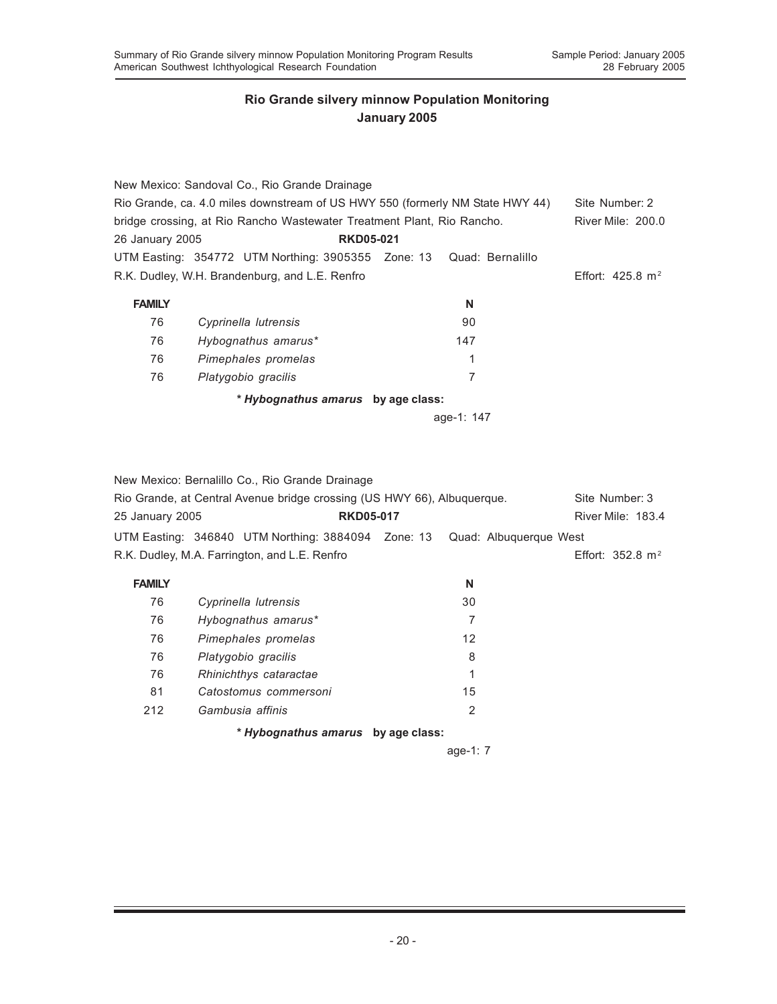|                 | New Mexico: Sandoval Co., Rio Grande Drainage                                 |            |                             |
|-----------------|-------------------------------------------------------------------------------|------------|-----------------------------|
|                 | Rio Grande, ca. 4.0 miles downstream of US HWY 550 (formerly NM State HWY 44) |            | Site Number: 2              |
|                 | bridge crossing, at Rio Rancho Wastewater Treatment Plant, Rio Rancho.        |            | River Mile: 200.0           |
| 26 January 2005 | <b>RKD05-021</b>                                                              |            |                             |
|                 | UTM Easting: 354772 UTM Northing: 3905355 Zone: 13 Quad: Bernalillo           |            |                             |
|                 | R.K. Dudley, W.H. Brandenburg, and L.E. Renfro                                |            | Effort: $425.8 \text{ m}^2$ |
| <b>FAMILY</b>   |                                                                               | N          |                             |
| 76              | Cyprinella lutrensis                                                          | 90         |                             |
| 76              | Hybognathus amarus*                                                           | 147        |                             |
| 76              | Pimephales promelas                                                           | 1          |                             |
| 76              | Platygobio gracilis                                                           | 7          |                             |
|                 | * Hybognathus amarus by age class:                                            |            |                             |
|                 |                                                                               | age-1: 147 |                             |

New Mexico: Bernalillo Co., Rio Grande Drainage

|                 | Rio Grande, at Central Avenue bridge crossing (US HWY 66), Albuquerque.     |                   | Site Number: 3              |  |
|-----------------|-----------------------------------------------------------------------------|-------------------|-----------------------------|--|
| 25 January 2005 | <b>RKD05-017</b>                                                            |                   | River Mile: 183.4           |  |
|                 | UTM Easting: 346840 UTM Northing: 3884094  Zone: 13  Quad: Albuquerque West |                   |                             |  |
|                 | R.K. Dudley, M.A. Farrington, and L.E. Renfro                               |                   | Effort: $352.8 \text{ m}^2$ |  |
| <b>FAMILY</b>   |                                                                             | N                 |                             |  |
| 76              | Cyprinella lutrensis                                                        | 30                |                             |  |
| 76              | Hybognathus amarus*                                                         | 7                 |                             |  |
| 76              | Pimephales promelas                                                         | $12 \overline{ }$ |                             |  |
| 76              | Platygobio gracilis                                                         | 8                 |                             |  |

| 76  | Rhinichthys cataractae |    |
|-----|------------------------|----|
| -81 | Catostomus commersoni  | 15 |
| 212 | Gambusia affinis       |    |

*\* Hybognathus amarus* **by age class:**

age-1: 7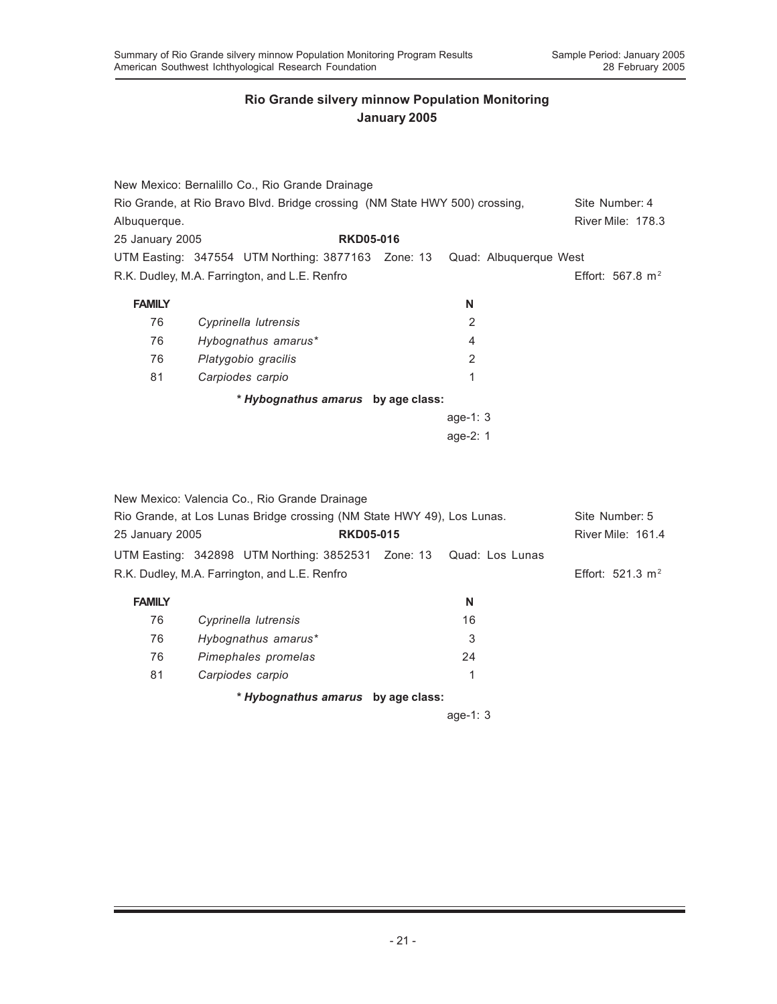|                 | New Mexico: Bernalillo Co., Rio Grande Drainage                             |                        |                          |
|-----------------|-----------------------------------------------------------------------------|------------------------|--------------------------|
|                 | Rio Grande, at Rio Bravo Blvd. Bridge crossing (NM State HWY 500) crossing, |                        | Site Number: 4           |
| Albuquerque.    |                                                                             |                        | <b>River Mile: 178.3</b> |
| 25 January 2005 | <b>RKD05-016</b>                                                            |                        |                          |
|                 | UTM Easting: 347554 UTM Northing: 3877163 Zone: 13                          | Quad: Albuquerque West |                          |
|                 | R.K. Dudley, M.A. Farrington, and L.E. Renfro                               |                        | Effort: 567.8 $m2$       |
| <b>FAMILY</b>   |                                                                             | N                      |                          |
|                 |                                                                             |                        |                          |
| 76              | Cyprinella lutrensis                                                        | 2                      |                          |
| 76              | Hybognathus amarus*                                                         | 4                      |                          |
| 76              | Platygobio gracilis                                                         | 2                      |                          |
| 81              | Carpiodes carpio                                                            | 1                      |                          |
|                 | * Hybognathus amarus by age class:                                          |                        |                          |
|                 |                                                                             | age-1: $3$             |                          |
|                 |                                                                             | age-2: $1$             |                          |
|                 |                                                                             |                        |                          |

|                                                                        | New Mexico: Valencia Co., Rio Grande Drainage                      |  |                |                    |
|------------------------------------------------------------------------|--------------------------------------------------------------------|--|----------------|--------------------|
| Rio Grande, at Los Lunas Bridge crossing (NM State HWY 49), Los Lunas. |                                                                    |  | Site Number: 5 |                    |
| 25 January 2005                                                        | <b>RKD05-015</b>                                                   |  |                | River Mile: 161.4  |
|                                                                        | UTM Easting: 342898 UTM Northing: 3852531 Zone: 13 Quad: Los Lunas |  |                |                    |
|                                                                        | R.K. Dudley, M.A. Farrington, and L.E. Renfro                      |  |                | Effort: 521.3 $m2$ |
| <b>FAMILY</b>                                                          |                                                                    |  | N              |                    |
| 76                                                                     | Cyprinella lutrensis                                               |  | 16             |                    |
| 76                                                                     | Hybognathus amarus*                                                |  | 3              |                    |
| 76                                                                     | Pimephales promelas                                                |  | 24             |                    |
| 81                                                                     | Carpiodes carpio                                                   |  | 1              |                    |
|                                                                        | * Hybognathus amarus by age class:                                 |  |                |                    |
|                                                                        |                                                                    |  | age-1: $3$     |                    |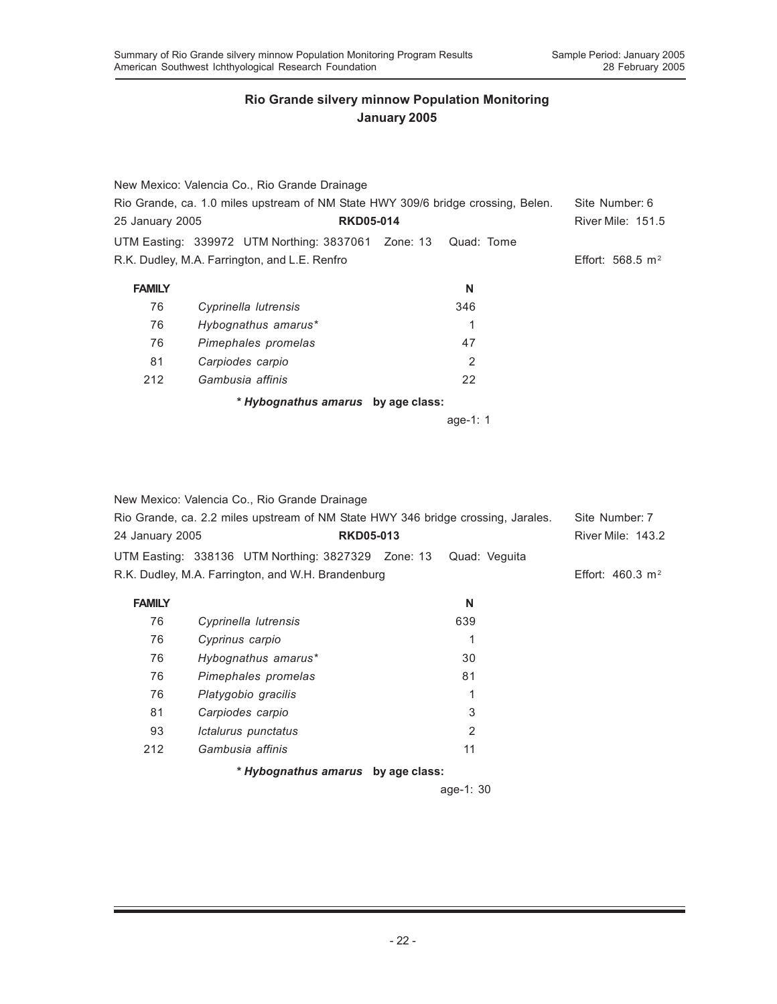|                 | New Mexico: Valencia Co., Rio Grande Drainage                                    |            |                          |
|-----------------|----------------------------------------------------------------------------------|------------|--------------------------|
|                 | Rio Grande, ca. 1.0 miles upstream of NM State HWY 309/6 bridge crossing, Belen. |            | Site Number: 6           |
| 25 January 2005 | <b>RKD05-014</b>                                                                 |            | <b>River Mile: 151.5</b> |
|                 | UTM Easting: 339972 UTM Northing: 3837061 Zone: 13                               | Quad: Tome |                          |
|                 | R.K. Dudley, M.A. Farrington, and L.E. Renfro                                    |            | Effort: 568.5 $m2$       |
| <b>FAMILY</b>   |                                                                                  | N          |                          |
| 76              | Cyprinella lutrensis                                                             | 346        |                          |
| 76              | Hybognathus amarus*                                                              | 1          |                          |
| 76              | Pimephales promelas                                                              | 47         |                          |
| 81              | Carpiodes carpio                                                                 | 2          |                          |
| 212             | Gambusia affinis                                                                 | 22         |                          |
|                 | * Hybognathus amarus by age class:                                               |            |                          |
|                 |                                                                                  | age-1: $1$ |                          |

|                 | New Mexico: Valencia Co., Rio Grande Drainage                                    |               |                             |
|-----------------|----------------------------------------------------------------------------------|---------------|-----------------------------|
|                 | Rio Grande, ca. 2.2 miles upstream of NM State HWY 346 bridge crossing, Jarales. |               | Site Number: 7              |
| 24 January 2005 | <b>RKD05-013</b>                                                                 |               | <b>River Mile: 143.2</b>    |
|                 | UTM Easting: 338136 UTM Northing: 3827329 Zone: 13                               | Quad: Veguita |                             |
|                 | R.K. Dudley, M.A. Farrington, and W.H. Brandenburg                               |               | Effort: $460.3 \text{ m}^2$ |
| <b>FAMILY</b>   |                                                                                  | N             |                             |
| 76              | Cyprinella lutrensis                                                             | 639           |                             |
| 76              | Cyprinus carpio                                                                  | 1             |                             |
| 76              | Hybognathus amarus*                                                              | 30            |                             |
| 76              | Pimephales promelas                                                              | 81            |                             |
| 76              | Platygobio gracilis                                                              | 1             |                             |
| 81              | Carpiodes carpio                                                                 | 3             |                             |
| 93              | Ictalurus punctatus                                                              | 2             |                             |
| 212             | Gambusia affinis                                                                 | 11            |                             |
|                 | * Hybognathus amarus by age class:                                               |               |                             |
|                 |                                                                                  | $age-1: 30$   |                             |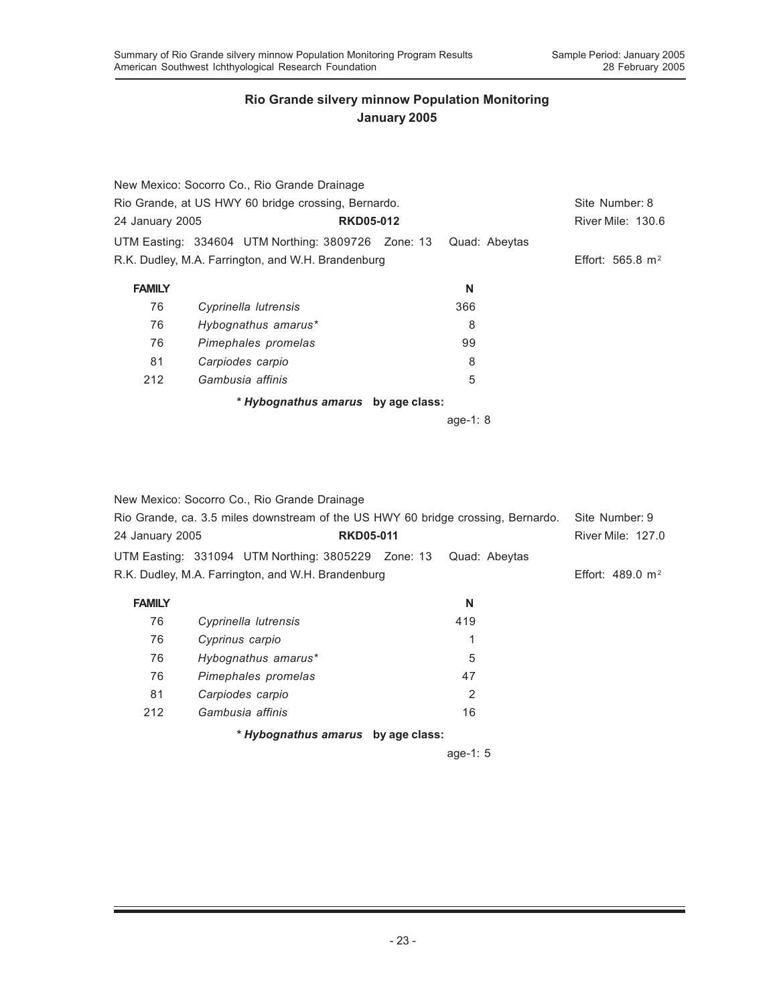|                                                     | New Mexico: Socorro Co., Rio Grande Drainage       |  |                |                    |
|-----------------------------------------------------|----------------------------------------------------|--|----------------|--------------------|
| Rio Grande, at US HWY 60 bridge crossing, Bernardo. |                                                    |  | Site Number: 8 |                    |
| 24 January 2005                                     | <b>RKD05-012</b>                                   |  |                | River Mile: 130.6  |
|                                                     | UTM Easting: 334604 UTM Northing: 3809726 Zone: 13 |  | Quad: Abeytas  |                    |
|                                                     | R.K. Dudley, M.A. Farrington, and W.H. Brandenburg |  |                | Effort: 565.8 $m2$ |
| <b>FAMILY</b>                                       |                                                    |  | N              |                    |
| 76                                                  | Cyprinella lutrensis                               |  | 366            |                    |
| 76                                                  | Hybognathus amarus*                                |  | 8              |                    |
| 76                                                  | Pimephales promelas                                |  | 99             |                    |
| 81                                                  | Carpiodes carpio                                   |  | 8              |                    |
| 212                                                 | Gambusia affinis                                   |  | 5              |                    |
|                                                     | * Hybognathus amarus by age class:                 |  |                |                    |
|                                                     |                                                    |  | age-1: $8$     |                    |

|                                                                                  | New Mexico: Socorro Co., Rio Grande Drainage       |  |                |                             |
|----------------------------------------------------------------------------------|----------------------------------------------------|--|----------------|-----------------------------|
| Rio Grande, ca. 3.5 miles downstream of the US HWY 60 bridge crossing, Bernardo. |                                                    |  | Site Number: 9 |                             |
| 24 January 2005                                                                  | <b>RKD05-011</b>                                   |  |                | <b>River Mile: 127.0</b>    |
|                                                                                  | UTM Easting: 331094 UTM Northing: 3805229 Zone: 13 |  | Quad: Abeytas  |                             |
|                                                                                  | R.K. Dudley, M.A. Farrington, and W.H. Brandenburg |  |                | Effort: $489.0 \text{ m}^2$ |
| <b>FAMILY</b>                                                                    |                                                    |  | N              |                             |
| 76                                                                               | Cyprinella lutrensis                               |  | 419            |                             |
| 76                                                                               | Cyprinus carpio                                    |  | 1              |                             |
| 76                                                                               | Hybognathus amarus*                                |  | 5              |                             |
| 76                                                                               | Pimephales promelas                                |  | 47             |                             |
| 81                                                                               | Carpiodes carpio                                   |  | 2              |                             |
| 212                                                                              | Gambusia affinis                                   |  | 16             |                             |
|                                                                                  | * Hybognathus amarus by age class:                 |  |                |                             |
|                                                                                  |                                                    |  | age-1: $5$     |                             |
|                                                                                  |                                                    |  |                |                             |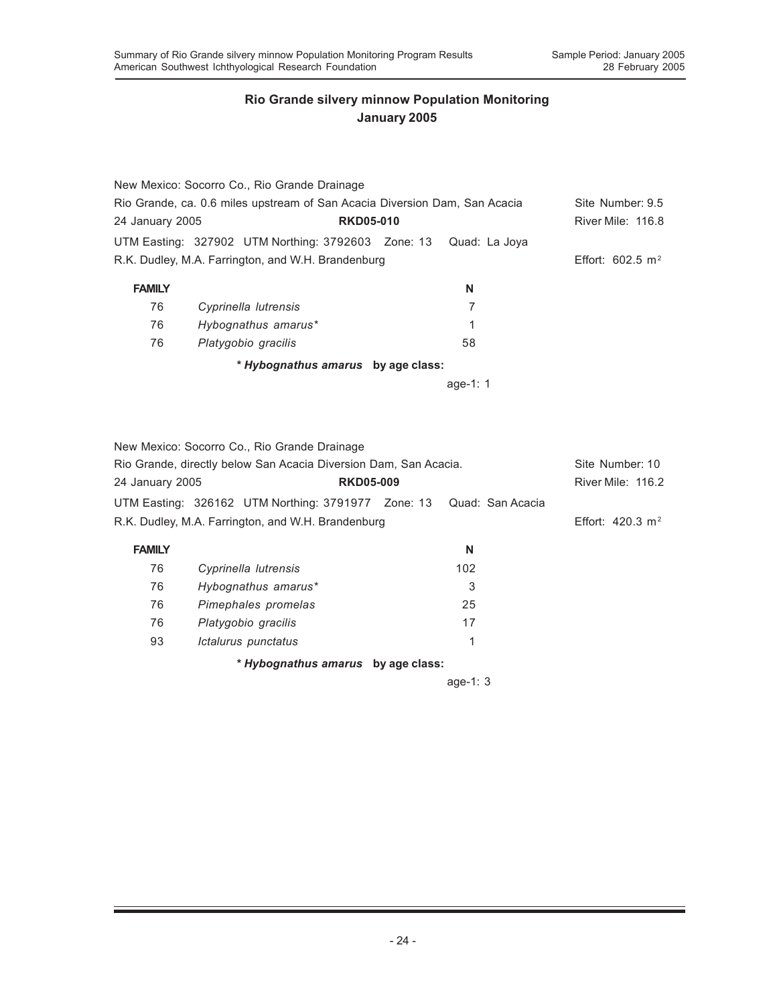|                                                                            | New Mexico: Socorro Co., Rio Grande Drainage       |  |                  |                             |
|----------------------------------------------------------------------------|----------------------------------------------------|--|------------------|-----------------------------|
| Rio Grande, ca. 0.6 miles upstream of San Acacia Diversion Dam, San Acacia |                                                    |  | Site Number: 9.5 |                             |
| 24 January 2005                                                            | <b>RKD05-010</b>                                   |  |                  | River Mile: 116.8           |
|                                                                            | UTM Easting: 327902 UTM Northing: 3792603 Zone: 13 |  | Quad: La Joya    |                             |
|                                                                            | R.K. Dudley, M.A. Farrington, and W.H. Brandenburg |  |                  | Effort: $602.5 \text{ m}^2$ |
| <b>FAMILY</b>                                                              |                                                    |  | N                |                             |
| 76                                                                         | Cyprinella lutrensis                               |  | 7                |                             |
| 76                                                                         | Hybognathus amarus*                                |  | 1                |                             |
| 76                                                                         | Platygobio gracilis                                |  | 58               |                             |
|                                                                            | * Hybognathus amarus by age class:                 |  |                  |                             |
|                                                                            |                                                    |  | age-1: $1$       |                             |

|                                                                  | New Mexico: Socorro Co., Rio Grande Drainage       |  |            |                             |
|------------------------------------------------------------------|----------------------------------------------------|--|------------|-----------------------------|
| Rio Grande, directly below San Acacia Diversion Dam, San Acacia. | Site Number: 10                                    |  |            |                             |
| <b>RKD05-009</b><br>24 January 2005                              |                                                    |  |            | River Mile: 116.2           |
|                                                                  |                                                    |  |            |                             |
|                                                                  | R.K. Dudley, M.A. Farrington, and W.H. Brandenburg |  |            | Effort: $420.3 \text{ m}^2$ |
| <b>FAMILY</b>                                                    |                                                    |  | N          |                             |
| 76                                                               | Cyprinella lutrensis                               |  | 102        |                             |
| 76                                                               | Hybognathus amarus*                                |  | 3          |                             |
| 76                                                               | Pimephales promelas                                |  | 25         |                             |
| 76                                                               | Platygobio gracilis                                |  | 17         |                             |
| 93                                                               | Ictalurus punctatus                                |  | 1          |                             |
|                                                                  | * Hybognathus amarus by age class:                 |  |            |                             |
|                                                                  |                                                    |  | age-1: $3$ |                             |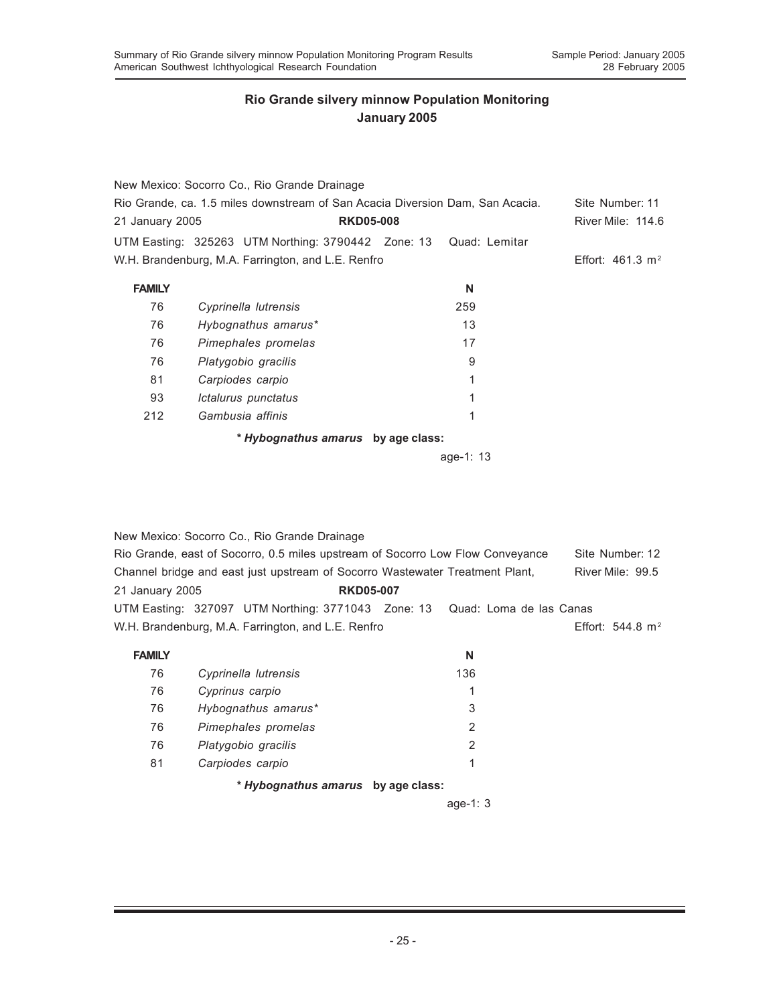|                                                                               | New Mexico: Socorro Co., Rio Grande Drainage       |               |                             |
|-------------------------------------------------------------------------------|----------------------------------------------------|---------------|-----------------------------|
| Rio Grande, ca. 1.5 miles downstream of San Acacia Diversion Dam, San Acacia. | Site Number: 11                                    |               |                             |
| 21 January 2005                                                               | <b>RKD05-008</b>                                   |               | River Mile: 114.6           |
|                                                                               | UTM Easting: 325263 UTM Northing: 3790442 Zone: 13 | Quad: Lemitar |                             |
|                                                                               | W.H. Brandenburg, M.A. Farrington, and L.E. Renfro |               | Effort: $461.3 \text{ m}^2$ |
| <b>FAMILY</b>                                                                 |                                                    | N             |                             |
| 76                                                                            | Cyprinella lutrensis                               | 259           |                             |
| 76                                                                            | Hybognathus amarus*                                | 13            |                             |
| 76                                                                            | Pimephales promelas                                | 17            |                             |
| 76                                                                            | Platygobio gracilis                                | 9             |                             |
| 81                                                                            | Carpiodes carpio                                   | 1             |                             |
| 93                                                                            | Ictalurus punctatus                                | 1             |                             |
| 212                                                                           | Gambusia affinis                                   | 1             |                             |
|                                                                               | * Hybognathus amarus by age class:                 |               |                             |
|                                                                               |                                                    | age-1: 13     |                             |

|                                                                                | New Mexico: Socorro Co., Rio Grande Drainage                                 |  |                              |  |
|--------------------------------------------------------------------------------|------------------------------------------------------------------------------|--|------------------------------|--|
| Rio Grande, east of Socorro, 0.5 miles upstream of Socorro Low Flow Conveyance | Site Number: 12                                                              |  |                              |  |
|                                                                                | Channel bridge and east just upstream of Socorro Wastewater Treatment Plant. |  | River Mile: 99.5             |  |
| 21 January 2005                                                                | <b>RKD05-007</b>                                                             |  |                              |  |
|                                                                                | UTM Easting: 327097 UTM Northing: 3771043 Zone: 13 Quad: Loma de las Canas   |  |                              |  |
|                                                                                | W.H. Brandenburg, M.A. Farrington, and L.E. Renfro                           |  | Effort: 544.8 m <sup>2</sup> |  |

| <b>FAMILY</b> |                                    | N   |
|---------------|------------------------------------|-----|
| 76            | Cyprinella lutrensis               | 136 |
| 76            | Cyprinus carpio                    | 1   |
| 76            | Hybognathus amarus*                | 3   |
| 76            | Pimephales promelas                | 2   |
| 76            | Platygobio gracilis                | 2   |
| 81            | Carpiodes carpio                   |     |
|               | * Hybognathus amarus by age class: |     |

age-1: 3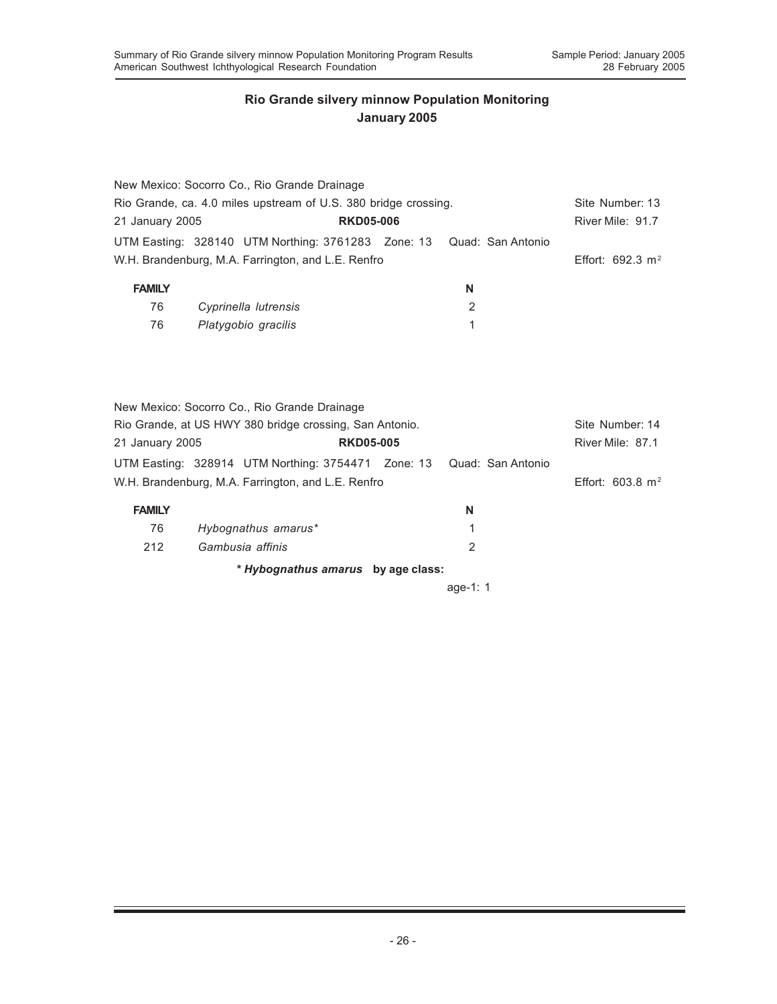|                                                                                                                            | New Mexico: Socorro Co., Rio Grande Drainage       |                  |   |                   |                             |
|----------------------------------------------------------------------------------------------------------------------------|----------------------------------------------------|------------------|---|-------------------|-----------------------------|
| Rio Grande, ca. 4.0 miles upstream of U.S. 380 bridge crossing.                                                            | Site Number: 13                                    |                  |   |                   |                             |
| 21 January 2005                                                                                                            |                                                    | <b>RKD05-006</b> |   |                   | River Mile: 91.7            |
|                                                                                                                            | UTM Easting: 328140 UTM Northing: 3761283 Zone: 13 |                  |   | Quad: San Antonio |                             |
|                                                                                                                            | W.H. Brandenburg, M.A. Farrington, and L.E. Renfro |                  |   |                   | Effort: 692.3 $m^2$         |
| <b>FAMILY</b>                                                                                                              |                                                    |                  | N |                   |                             |
| 76                                                                                                                         | Cyprinella lutrensis                               |                  | 2 |                   |                             |
| 76                                                                                                                         | Platygobio gracilis                                |                  | 1 |                   |                             |
| New Mexico: Socorro Co., Rio Grande Drainage<br>Rio Grande, at US HWY 380 bridge crossing, San Antonio.<br>21 January 2005 | Site Number: 14<br>River Mile: 87.1                |                  |   |                   |                             |
|                                                                                                                            | UTM Easting: 328914 UTM Northing: 3754471 Zone: 13 |                  |   | Quad: San Antonio |                             |
|                                                                                                                            | W.H. Brandenburg, M.A. Farrington, and L.E. Renfro |                  |   |                   | Effort: $603.8 \text{ m}^2$ |
| <b>FAMILY</b>                                                                                                              |                                                    |                  | N |                   |                             |
| 76                                                                                                                         | Hybognathus amarus*                                |                  | 1 |                   |                             |
| 212                                                                                                                        | Gambusia affinis                                   |                  | 2 |                   |                             |
|                                                                                                                            | * Hybognathus amarus by age class:                 |                  |   |                   |                             |

age-1: 1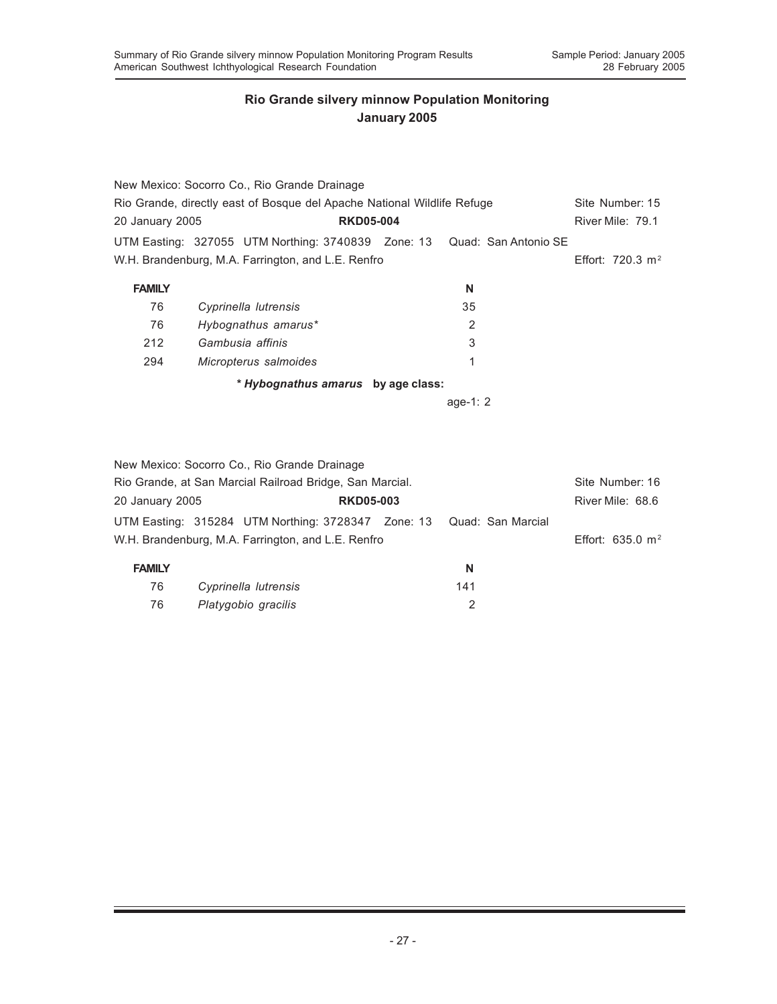|                                                                         | New Mexico: Socorro Co., Rio Grande Drainage                            |                |  |                              |
|-------------------------------------------------------------------------|-------------------------------------------------------------------------|----------------|--|------------------------------|
| Rio Grande, directly east of Bosque del Apache National Wildlife Refuge | Site Number: 15                                                         |                |  |                              |
|                                                                         | <b>RKD05-004</b><br>20 January 2005                                     |                |  |                              |
|                                                                         | UTM Easting: 327055 UTM Northing: 3740839 Zone: 13 Quad: San Antonio SE |                |  |                              |
|                                                                         | W.H. Brandenburg, M.A. Farrington, and L.E. Renfro                      |                |  | Effort: 720.3 m <sup>2</sup> |
| <b>FAMILY</b>                                                           |                                                                         | N              |  |                              |
| 76                                                                      | Cyprinella lutrensis                                                    | 35             |  |                              |
| 76                                                                      | Hybognathus amarus*                                                     | $\overline{2}$ |  |                              |
| 212                                                                     | Gambusia affinis                                                        | 3              |  |                              |
| 294                                                                     | Micropterus salmoides                                                   | 1              |  |                              |
|                                                                         | * Hybognathus amarus by age class:                                      |                |  |                              |
|                                                                         |                                                                         | age-1: $2$     |  |                              |
|                                                                         |                                                                         |                |  |                              |

|                 | New Mexico: Socorro Co., Rio Grande Drainage                                                                               |                  |     |                             |
|-----------------|----------------------------------------------------------------------------------------------------------------------------|------------------|-----|-----------------------------|
|                 | Rio Grande, at San Marcial Railroad Bridge, San Marcial.                                                                   |                  |     | Site Number: 16             |
| 20 January 2005 |                                                                                                                            | <b>RKD05-003</b> |     | River Mile: 68.6            |
|                 | UTM Easting: 315284 UTM Northing: 3728347 Zone: 13 Quad: San Marcial<br>W.H. Brandenburg, M.A. Farrington, and L.E. Renfro |                  |     | Effort: $635.0 \text{ m}^2$ |
| <b>FAMILY</b>   |                                                                                                                            |                  | N   |                             |
| 76              | Cyprinella lutrensis                                                                                                       |                  | 141 |                             |
| 76              | Platygobio gracilis                                                                                                        |                  |     |                             |